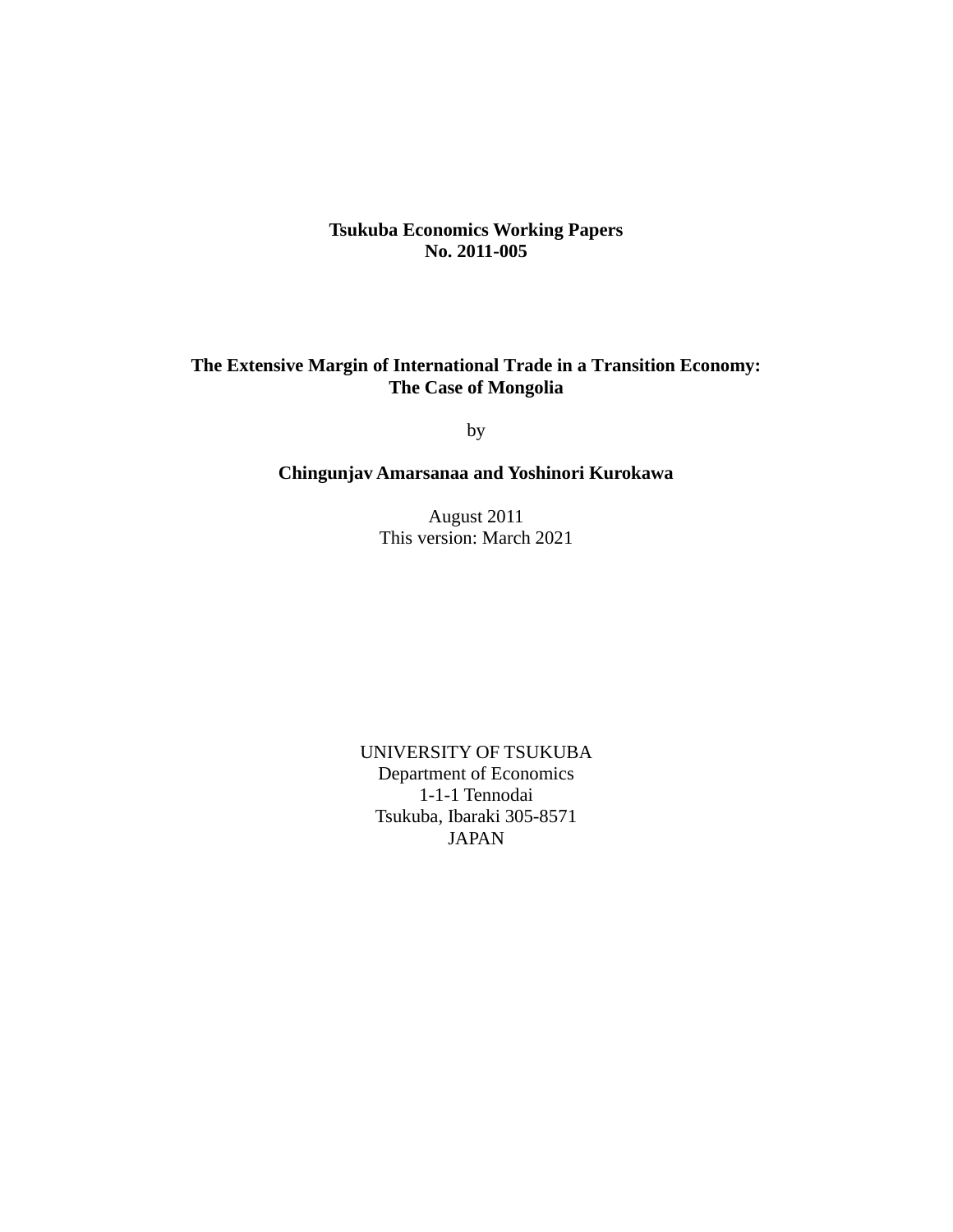## **Tsukuba Economics Working Papers No. 2011-005**

## **The Extensive Margin of International Trade in a Transition Economy: The Case of Mongolia**

by

## **Chingunjav Amarsanaa and Yoshinori Kurokawa**

August 2011 This version: March 2021

UNIVERSITY OF TSUKUBA Department of Economics 1-1-1 Tennodai Tsukuba, Ibaraki 305-8571 JAPAN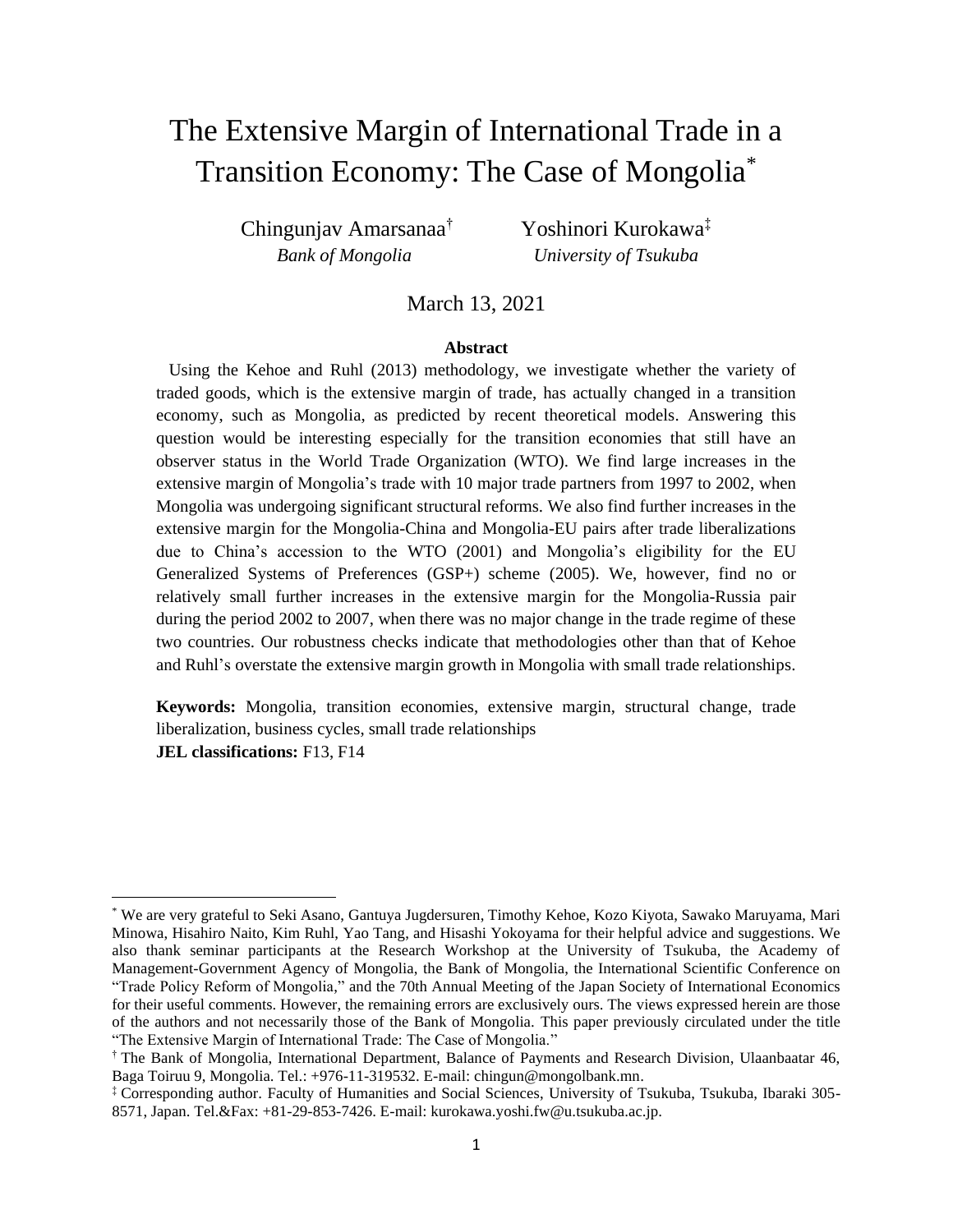# The Extensive Margin of International Trade in a Transition Economy: The Case of Mongolia\*

Chingunjav Amarsanaa† Yoshinori Kurokawa‡  *Bank of Mongolia University of Tsukuba*

March 13, 2021

#### **Abstract**

 Using the Kehoe and Ruhl (2013) methodology, we investigate whether the variety of traded goods, which is the extensive margin of trade, has actually changed in a transition economy, such as Mongolia, as predicted by recent theoretical models. Answering this question would be interesting especially for the transition economies that still have an observer status in the World Trade Organization (WTO). We find large increases in the extensive margin of Mongolia's trade with 10 major trade partners from 1997 to 2002, when Mongolia was undergoing significant structural reforms. We also find further increases in the extensive margin for the Mongolia-China and Mongolia-EU pairs after trade liberalizations due to China's accession to the WTO (2001) and Mongolia's eligibility for the EU Generalized Systems of Preferences (GSP+) scheme (2005). We, however, find no or relatively small further increases in the extensive margin for the Mongolia-Russia pair during the period 2002 to 2007, when there was no major change in the trade regime of these two countries. Our robustness checks indicate that methodologies other than that of Kehoe and Ruhl's overstate the extensive margin growth in Mongolia with small trade relationships.

**Keywords:** Mongolia, transition economies, extensive margin, structural change, trade liberalization, business cycles, small trade relationships **JEL classifications:** F13, F14

<sup>\*</sup> We are very grateful to Seki Asano, Gantuya Jugdersuren, Timothy Kehoe, Kozo Kiyota, Sawako Maruyama, Mari Minowa, Hisahiro Naito, Kim Ruhl, Yao Tang, and Hisashi Yokoyama for their helpful advice and suggestions. We also thank seminar participants at the Research Workshop at the University of Tsukuba, the Academy of Management-Government Agency of Mongolia, the Bank of Mongolia, the International Scientific Conference on "Trade Policy Reform of Mongolia," and the 70th Annual Meeting of the Japan Society of International Economics for their useful comments. However, the remaining errors are exclusively ours. The views expressed herein are those of the authors and not necessarily those of the Bank of Mongolia. This paper previously circulated under the title "The Extensive Margin of International Trade: The Case of Mongolia."

<sup>†</sup> The Bank of Mongolia, International Department, Balance of Payments and Research Division, Ulaanbaatar 46, Baga Toiruu 9, Mongolia. Tel.: +976-11-319532. E-mail: chingun@mongolbank.mn.

<sup>‡</sup> Corresponding author. Faculty of Humanities and Social Sciences, University of Tsukuba, Tsukuba, Ibaraki 305- 8571, Japan. Tel.&Fax: +81-29-853-7426. E-mail: kurokawa.yoshi.fw@u.tsukuba.ac.jp.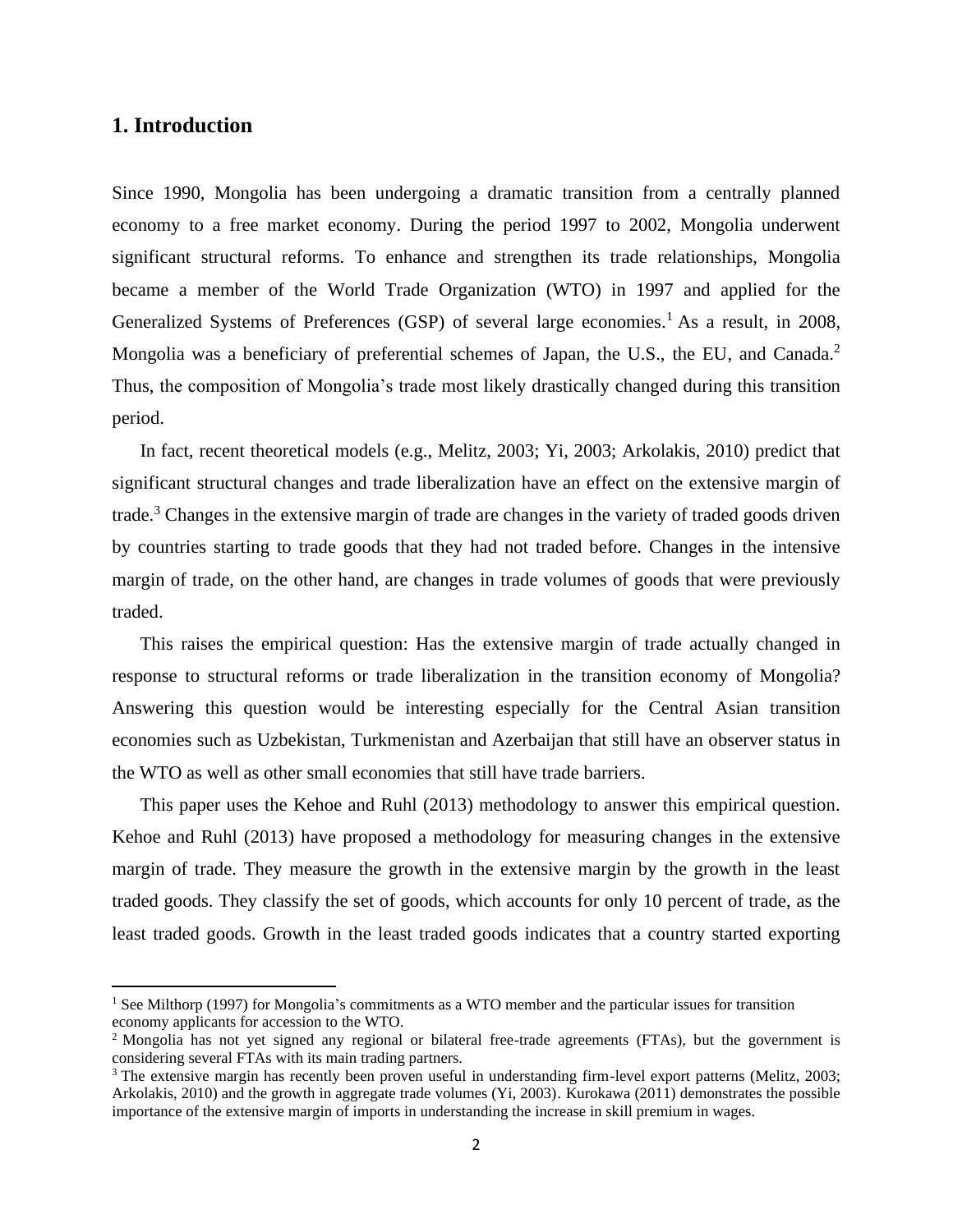## **1. Introduction**

Since 1990, Mongolia has been undergoing a dramatic transition from a centrally planned economy to a free market economy. During the period 1997 to 2002, Mongolia underwent significant structural reforms. To enhance and strengthen its trade relationships, Mongolia became a member of the World Trade Organization (WTO) in 1997 and applied for the Generalized Systems of Preferences (GSP) of several large economies.<sup>1</sup> As a result, in 2008, Mongolia was a beneficiary of preferential schemes of Japan, the U.S., the EU, and Canada.<sup>2</sup> Thus, the composition of Mongolia's trade most likely drastically changed during this transition period.

In fact, recent theoretical models (e.g., Melitz, 2003; Yi, 2003; Arkolakis, 2010) predict that significant structural changes and trade liberalization have an effect on the extensive margin of trade.<sup>3</sup> Changes in the extensive margin of trade are changes in the variety of traded goods driven by countries starting to trade goods that they had not traded before. Changes in the intensive margin of trade, on the other hand, are changes in trade volumes of goods that were previously traded.

This raises the empirical question: Has the extensive margin of trade actually changed in response to structural reforms or trade liberalization in the transition economy of Mongolia? Answering this question would be interesting especially for the Central Asian transition economies such as Uzbekistan, Turkmenistan and Azerbaijan that still have an observer status in the WTO as well as other small economies that still have trade barriers.

This paper uses the Kehoe and Ruhl (2013) methodology to answer this empirical question. Kehoe and Ruhl (2013) have proposed a methodology for measuring changes in the extensive margin of trade. They measure the growth in the extensive margin by the growth in the least traded goods. They classify the set of goods, which accounts for only 10 percent of trade, as the least traded goods. Growth in the least traded goods indicates that a country started exporting

<sup>&</sup>lt;sup>1</sup> See Milthorp (1997) for Mongolia's commitments as a WTO member and the particular issues for transition economy applicants for accession to the WTO.

<sup>&</sup>lt;sup>2</sup> Mongolia has not yet signed any regional or bilateral free-trade agreements (FTAs), but the government is considering several FTAs with its main trading partners.

<sup>&</sup>lt;sup>3</sup> The extensive margin has recently been proven useful in understanding firm-level export patterns (Melitz, 2003; Arkolakis, 2010) and the growth in aggregate trade volumes (Yi, 2003). Kurokawa (2011) demonstrates the possible importance of the extensive margin of imports in understanding the increase in skill premium in wages.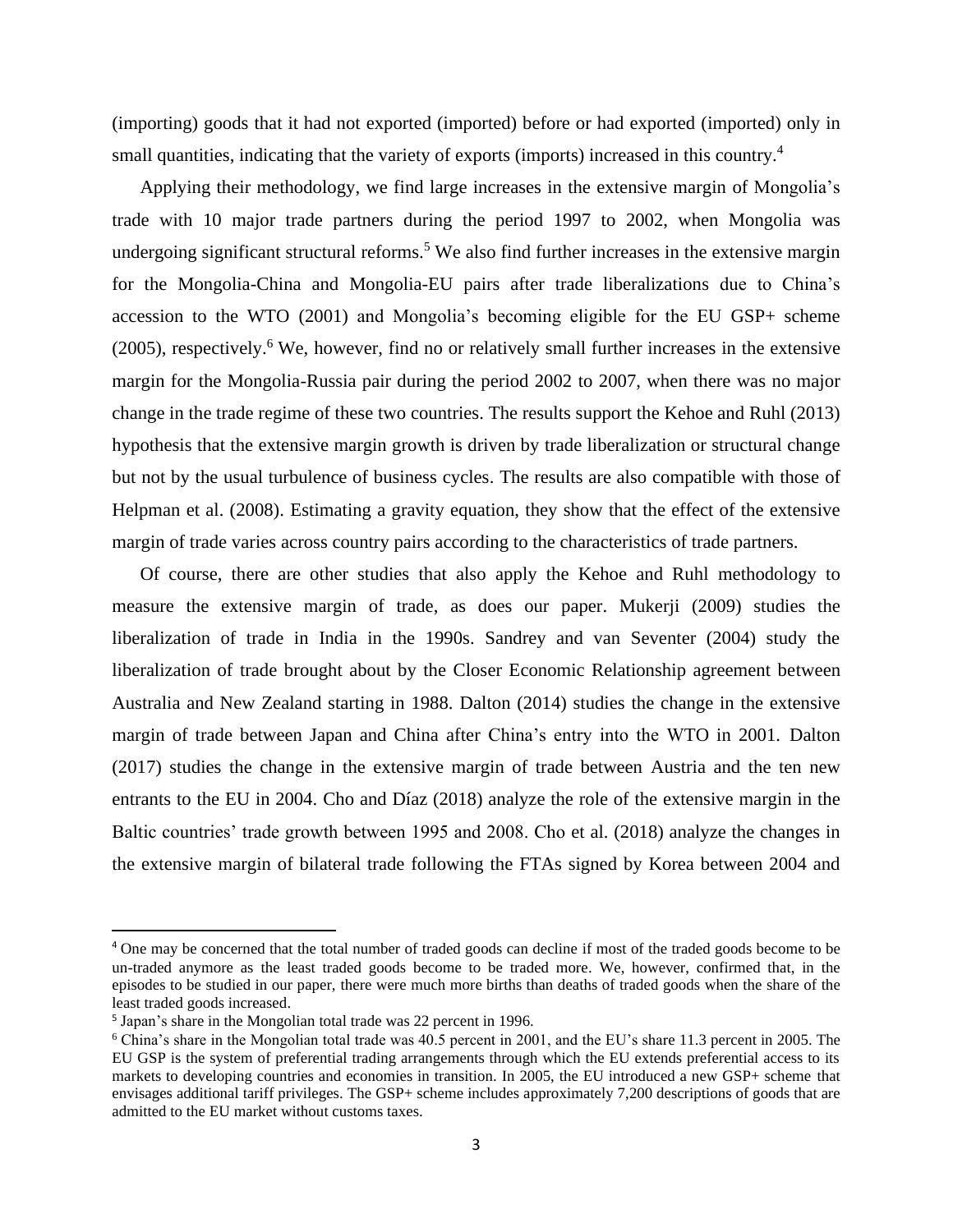(importing) goods that it had not exported (imported) before or had exported (imported) only in small quantities, indicating that the variety of exports (imports) increased in this country.<sup>4</sup>

Applying their methodology, we find large increases in the extensive margin of Mongolia's trade with 10 major trade partners during the period 1997 to 2002, when Mongolia was undergoing significant structural reforms.<sup>5</sup> We also find further increases in the extensive margin for the Mongolia-China and Mongolia-EU pairs after trade liberalizations due to China's accession to the WTO (2001) and Mongolia's becoming eligible for the EU GSP+ scheme  $(2005)$ , respectively.<sup>6</sup> We, however, find no or relatively small further increases in the extensive margin for the Mongolia-Russia pair during the period 2002 to 2007, when there was no major change in the trade regime of these two countries. The results support the Kehoe and Ruhl (2013) hypothesis that the extensive margin growth is driven by trade liberalization or structural change but not by the usual turbulence of business cycles. The results are also compatible with those of Helpman et al. (2008). Estimating a gravity equation, they show that the effect of the extensive margin of trade varies across country pairs according to the characteristics of trade partners.

Of course, there are other studies that also apply the Kehoe and Ruhl methodology to measure the extensive margin of trade, as does our paper. Mukerji (2009) studies the liberalization of trade in India in the 1990s. Sandrey and van Seventer (2004) study the liberalization of trade brought about by the Closer Economic Relationship agreement between Australia and New Zealand starting in 1988. Dalton (2014) studies the change in the extensive margin of trade between Japan and China after China's entry into the WTO in 2001. Dalton (2017) studies the change in the extensive margin of trade between Austria and the ten new entrants to the EU in 2004. Cho and Díaz (2018) analyze the role of the extensive margin in the Baltic countries' trade growth between 1995 and 2008. Cho et al. (2018) analyze the changes in the extensive margin of bilateral trade following the FTAs signed by Korea between 2004 and

<sup>4</sup> One may be concerned that the total number of traded goods can decline if most of the traded goods become to be un-traded anymore as the least traded goods become to be traded more. We, however, confirmed that, in the episodes to be studied in our paper, there were much more births than deaths of traded goods when the share of the least traded goods increased.

<sup>&</sup>lt;sup>5</sup> Japan's share in the Mongolian total trade was 22 percent in 1996.

<sup>6</sup> China's share in the Mongolian total trade was 40.5 percent in 2001, and the EU's share 11.3 percent in 2005. The EU GSP is the system of preferential trading arrangements through which the EU extends preferential access to its markets to developing countries and economies in transition. In 2005, the EU introduced a new GSP+ scheme that envisages additional tariff privileges. The GSP+ scheme includes approximately 7,200 descriptions of goods that are admitted to the EU market without customs taxes.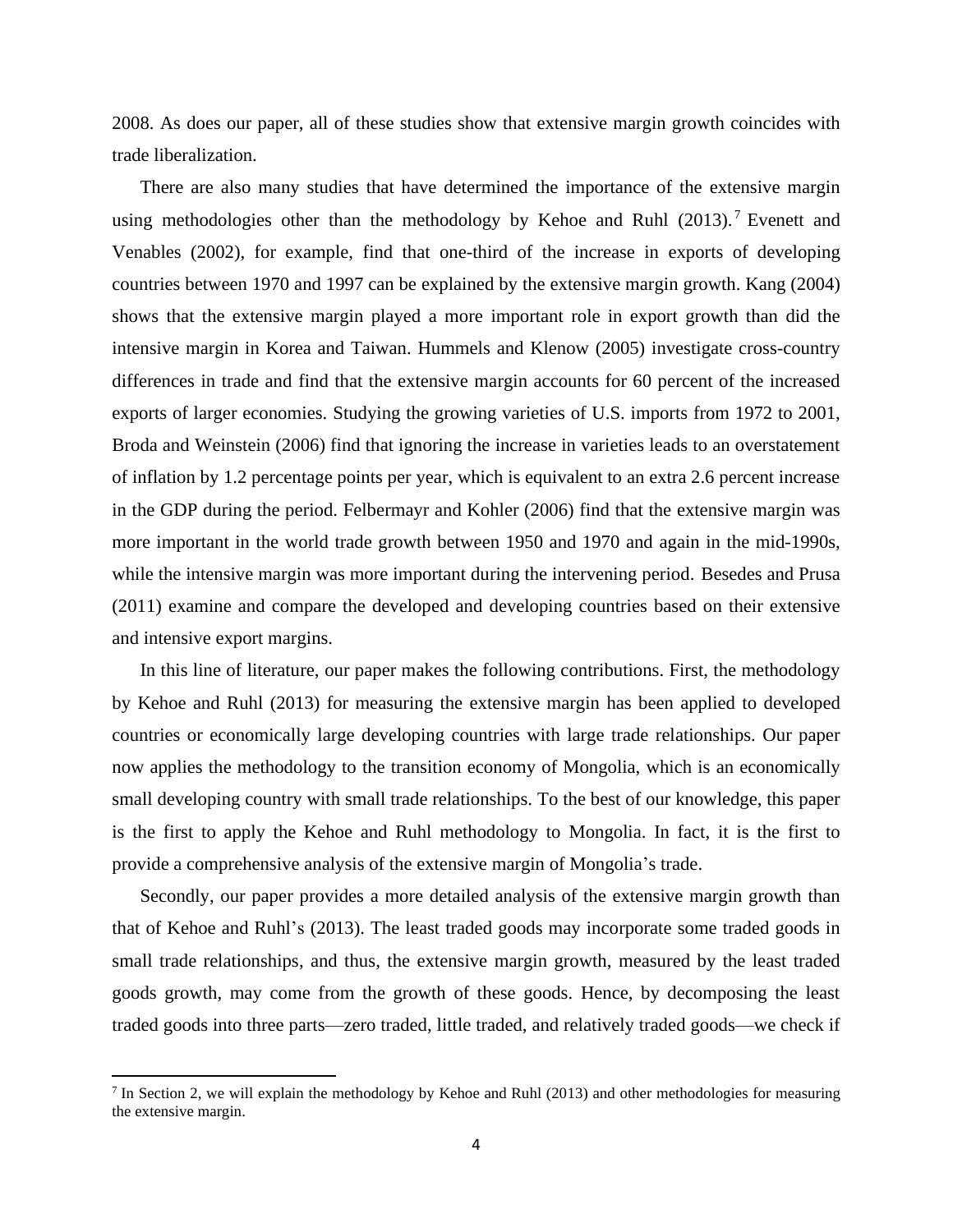2008. As does our paper, all of these studies show that extensive margin growth coincides with trade liberalization.

There are also many studies that have determined the importance of the extensive margin using methodologies other than the methodology by Kehoe and Ruhl (2013).<sup>7</sup> Evenett and Venables (2002), for example, find that one-third of the increase in exports of developing countries between 1970 and 1997 can be explained by the extensive margin growth. Kang (2004) shows that the extensive margin played a more important role in export growth than did the intensive margin in Korea and Taiwan. Hummels and Klenow (2005) investigate cross-country differences in trade and find that the extensive margin accounts for 60 percent of the increased exports of larger economies. Studying the growing varieties of U.S. imports from 1972 to 2001, Broda and Weinstein (2006) find that ignoring the increase in varieties leads to an overstatement of inflation by 1.2 percentage points per year, which is equivalent to an extra 2.6 percent increase in the GDP during the period. Felbermayr and Kohler (2006) find that the extensive margin was more important in the world trade growth between 1950 and 1970 and again in the mid-1990s, while the intensive margin was more important during the intervening period. Besedes and Prusa (2011) examine and compare the developed and developing countries based on their extensive and intensive export margins.

In this line of literature, our paper makes the following contributions. First, the methodology by Kehoe and Ruhl (2013) for measuring the extensive margin has been applied to developed countries or economically large developing countries with large trade relationships. Our paper now applies the methodology to the transition economy of Mongolia, which is an economically small developing country with small trade relationships. To the best of our knowledge, this paper is the first to apply the Kehoe and Ruhl methodology to Mongolia. In fact, it is the first to provide a comprehensive analysis of the extensive margin of Mongolia's trade.

Secondly, our paper provides a more detailed analysis of the extensive margin growth than that of Kehoe and Ruhl's (2013). The least traded goods may incorporate some traded goods in small trade relationships, and thus, the extensive margin growth, measured by the least traded goods growth, may come from the growth of these goods. Hence, by decomposing the least traded goods into three parts—zero traded, little traded, and relatively traded goods—we check if

<sup>&</sup>lt;sup>7</sup> In Section 2, we will explain the methodology by Kehoe and Ruhl (2013) and other methodologies for measuring the extensive margin.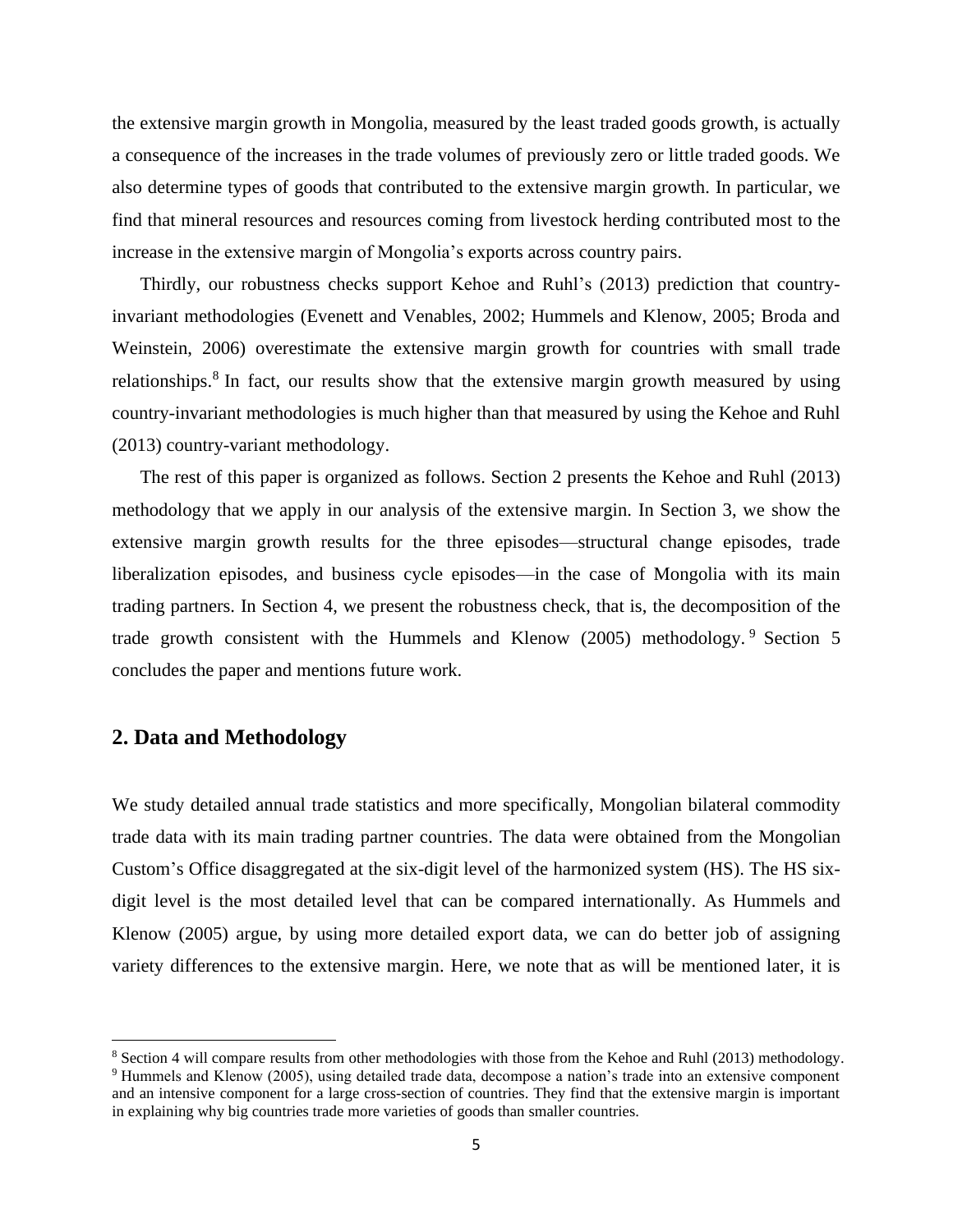the extensive margin growth in Mongolia, measured by the least traded goods growth, is actually a consequence of the increases in the trade volumes of previously zero or little traded goods. We also determine types of goods that contributed to the extensive margin growth. In particular, we find that mineral resources and resources coming from livestock herding contributed most to the increase in the extensive margin of Mongolia's exports across country pairs.

Thirdly, our robustness checks support Kehoe and Ruhl's (2013) prediction that countryinvariant methodologies (Evenett and Venables, 2002; Hummels and Klenow, 2005; Broda and Weinstein, 2006) overestimate the extensive margin growth for countries with small trade relationships.<sup>8</sup> In fact, our results show that the extensive margin growth measured by using country-invariant methodologies is much higher than that measured by using the Kehoe and Ruhl (2013) country-variant methodology.

The rest of this paper is organized as follows. Section 2 presents the Kehoe and Ruhl (2013) methodology that we apply in our analysis of the extensive margin. In Section 3, we show the extensive margin growth results for the three episodes—structural change episodes, trade liberalization episodes, and business cycle episodes—in the case of Mongolia with its main trading partners. In Section 4, we present the robustness check, that is, the decomposition of the trade growth consistent with the Hummels and Klenow (2005) methodology. <sup>9</sup> Section 5 concludes the paper and mentions future work.

# **2. Data and Methodology**

We study detailed annual trade statistics and more specifically, Mongolian bilateral commodity trade data with its main trading partner countries. The data were obtained from the Mongolian Custom's Office disaggregated at the six-digit level of the harmonized system (HS). The HS sixdigit level is the most detailed level that can be compared internationally. As Hummels and Klenow (2005) argue, by using more detailed export data, we can do better job of assigning variety differences to the extensive margin. Here, we note that as will be mentioned later, it is

<sup>&</sup>lt;sup>8</sup> Section 4 will compare results from other methodologies with those from the Kehoe and Ruhl (2013) methodology. <sup>9</sup> Hummels and Klenow (2005), using detailed trade data, decompose a nation's trade into an extensive component and an intensive component for a large cross-section of countries. They find that the extensive margin is important in explaining why big countries trade more varieties of goods than smaller countries.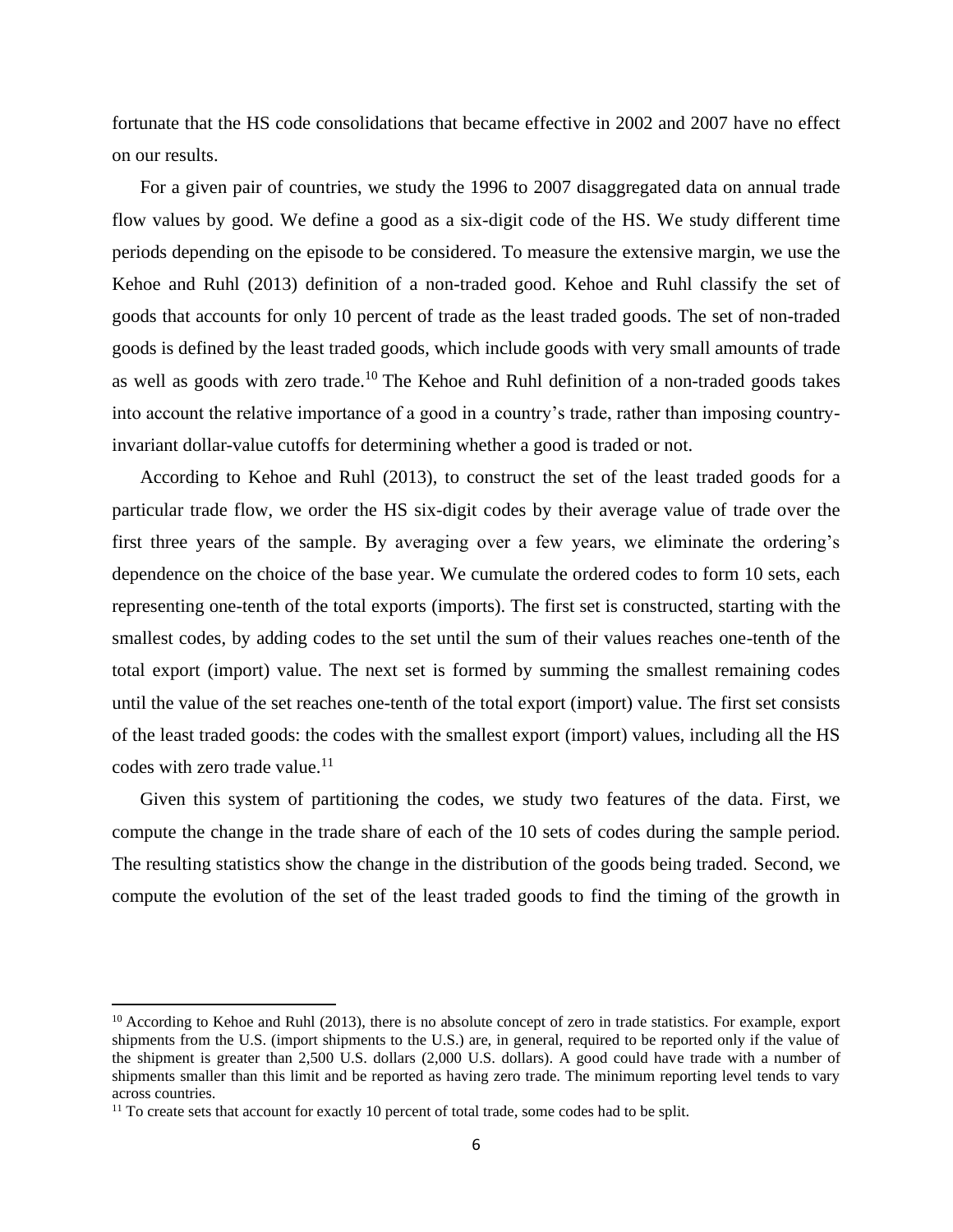fortunate that the HS code consolidations that became effective in 2002 and 2007 have no effect on our results.

For a given pair of countries, we study the 1996 to 2007 disaggregated data on annual trade flow values by good. We define a good as a six-digit code of the HS. We study different time periods depending on the episode to be considered. To measure the extensive margin, we use the Kehoe and Ruhl (2013) definition of a non-traded good. Kehoe and Ruhl classify the set of goods that accounts for only 10 percent of trade as the least traded goods. The set of non-traded goods is defined by the least traded goods, which include goods with very small amounts of trade as well as goods with zero trade.<sup>10</sup> The Kehoe and Ruhl definition of a non-traded goods takes into account the relative importance of a good in a country's trade, rather than imposing countryinvariant dollar-value cutoffs for determining whether a good is traded or not.

According to Kehoe and Ruhl (2013), to construct the set of the least traded goods for a particular trade flow, we order the HS six-digit codes by their average value of trade over the first three years of the sample. By averaging over a few years, we eliminate the ordering's dependence on the choice of the base year. We cumulate the ordered codes to form 10 sets, each representing one-tenth of the total exports (imports). The first set is constructed, starting with the smallest codes, by adding codes to the set until the sum of their values reaches one-tenth of the total export (import) value. The next set is formed by summing the smallest remaining codes until the value of the set reaches one-tenth of the total export (import) value. The first set consists of the least traded goods: the codes with the smallest export (import) values, including all the HS codes with zero trade value. $^{11}$ 

Given this system of partitioning the codes, we study two features of the data. First, we compute the change in the trade share of each of the 10 sets of codes during the sample period. The resulting statistics show the change in the distribution of the goods being traded. Second, we compute the evolution of the set of the least traded goods to find the timing of the growth in

<sup>&</sup>lt;sup>10</sup> According to Kehoe and Ruhl (2013), there is no absolute concept of zero in trade statistics. For example, export shipments from the U.S. (import shipments to the U.S.) are, in general, required to be reported only if the value of the shipment is greater than 2,500 U.S. dollars (2,000 U.S. dollars). A good could have trade with a number of shipments smaller than this limit and be reported as having zero trade. The minimum reporting level tends to vary across countries.

<sup>&</sup>lt;sup>11</sup> To create sets that account for exactly 10 percent of total trade, some codes had to be split.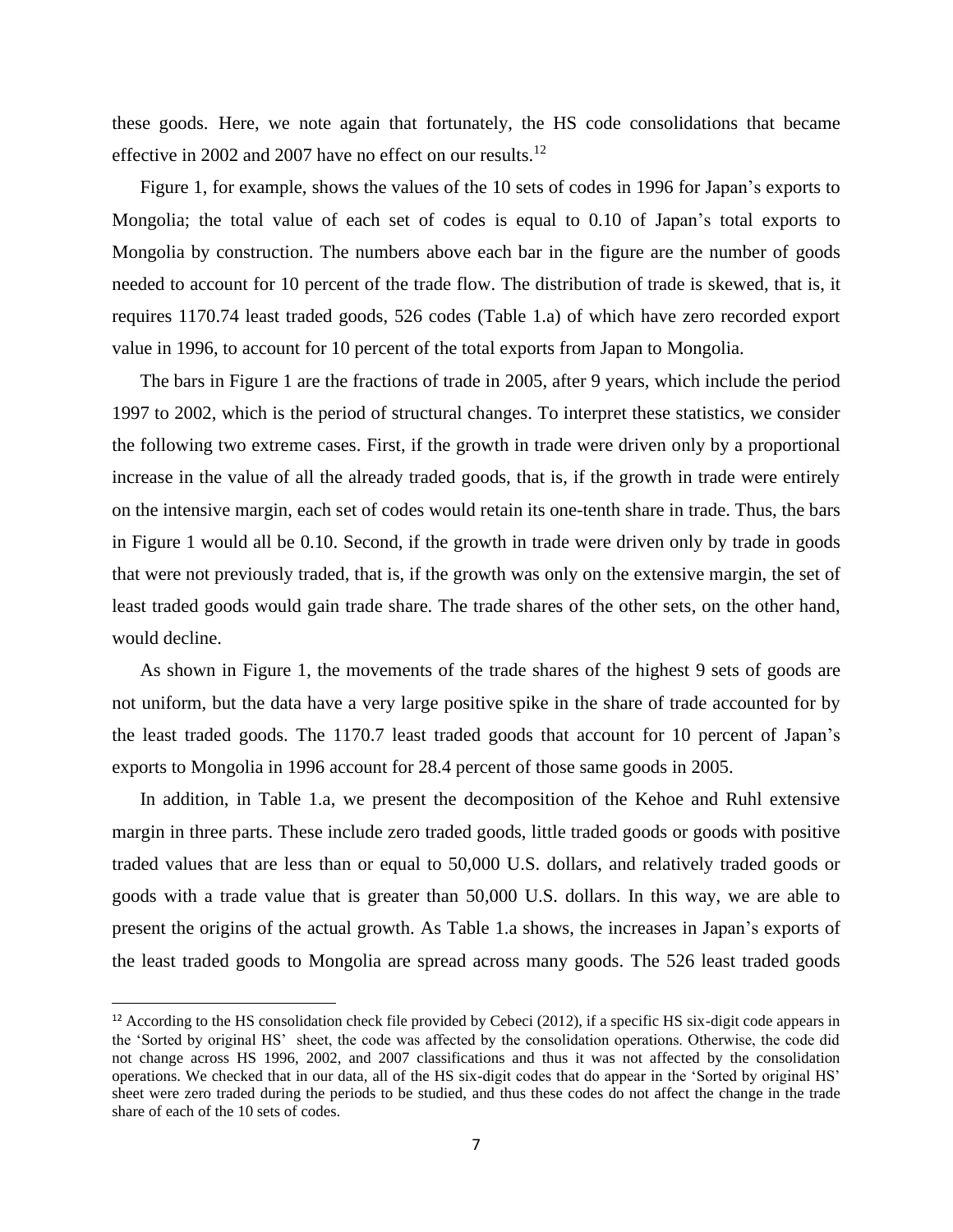these goods. Here, we note again that fortunately, the HS code consolidations that became effective in 2002 and 2007 have no effect on our results.<sup>12</sup>

Figure 1, for example, shows the values of the 10 sets of codes in 1996 for Japan's exports to Mongolia; the total value of each set of codes is equal to 0.10 of Japan's total exports to Mongolia by construction. The numbers above each bar in the figure are the number of goods needed to account for 10 percent of the trade flow. The distribution of trade is skewed, that is, it requires 1170.74 least traded goods, 526 codes (Table 1.a) of which have zero recorded export value in 1996, to account for 10 percent of the total exports from Japan to Mongolia.

The bars in Figure 1 are the fractions of trade in 2005, after 9 years, which include the period 1997 to 2002, which is the period of structural changes. To interpret these statistics, we consider the following two extreme cases. First, if the growth in trade were driven only by a proportional increase in the value of all the already traded goods, that is, if the growth in trade were entirely on the intensive margin, each set of codes would retain its one-tenth share in trade. Thus, the bars in Figure 1 would all be 0.10. Second, if the growth in trade were driven only by trade in goods that were not previously traded, that is, if the growth was only on the extensive margin, the set of least traded goods would gain trade share. The trade shares of the other sets, on the other hand, would decline.

As shown in Figure 1, the movements of the trade shares of the highest 9 sets of goods are not uniform, but the data have a very large positive spike in the share of trade accounted for by the least traded goods. The 1170.7 least traded goods that account for 10 percent of Japan's exports to Mongolia in 1996 account for 28.4 percent of those same goods in 2005.

In addition, in Table 1.a, we present the decomposition of the Kehoe and Ruhl extensive margin in three parts. These include zero traded goods, little traded goods or goods with positive traded values that are less than or equal to 50,000 U.S. dollars, and relatively traded goods or goods with a trade value that is greater than 50,000 U.S. dollars. In this way, we are able to present the origins of the actual growth. As Table 1.a shows, the increases in Japan's exports of the least traded goods to Mongolia are spread across many goods. The 526 least traded goods

 $12$  According to the HS consolidation check file provided by Cebeci (2012), if a specific HS six-digit code appears in the 'Sorted by original HS' sheet, the code was affected by the consolidation operations. Otherwise, the code did not change across HS 1996, 2002, and 2007 classifications and thus it was not affected by the consolidation operations. We checked that in our data, all of the HS six-digit codes that do appear in the 'Sorted by original HS' sheet were zero traded during the periods to be studied, and thus these codes do not affect the change in the trade share of each of the 10 sets of codes.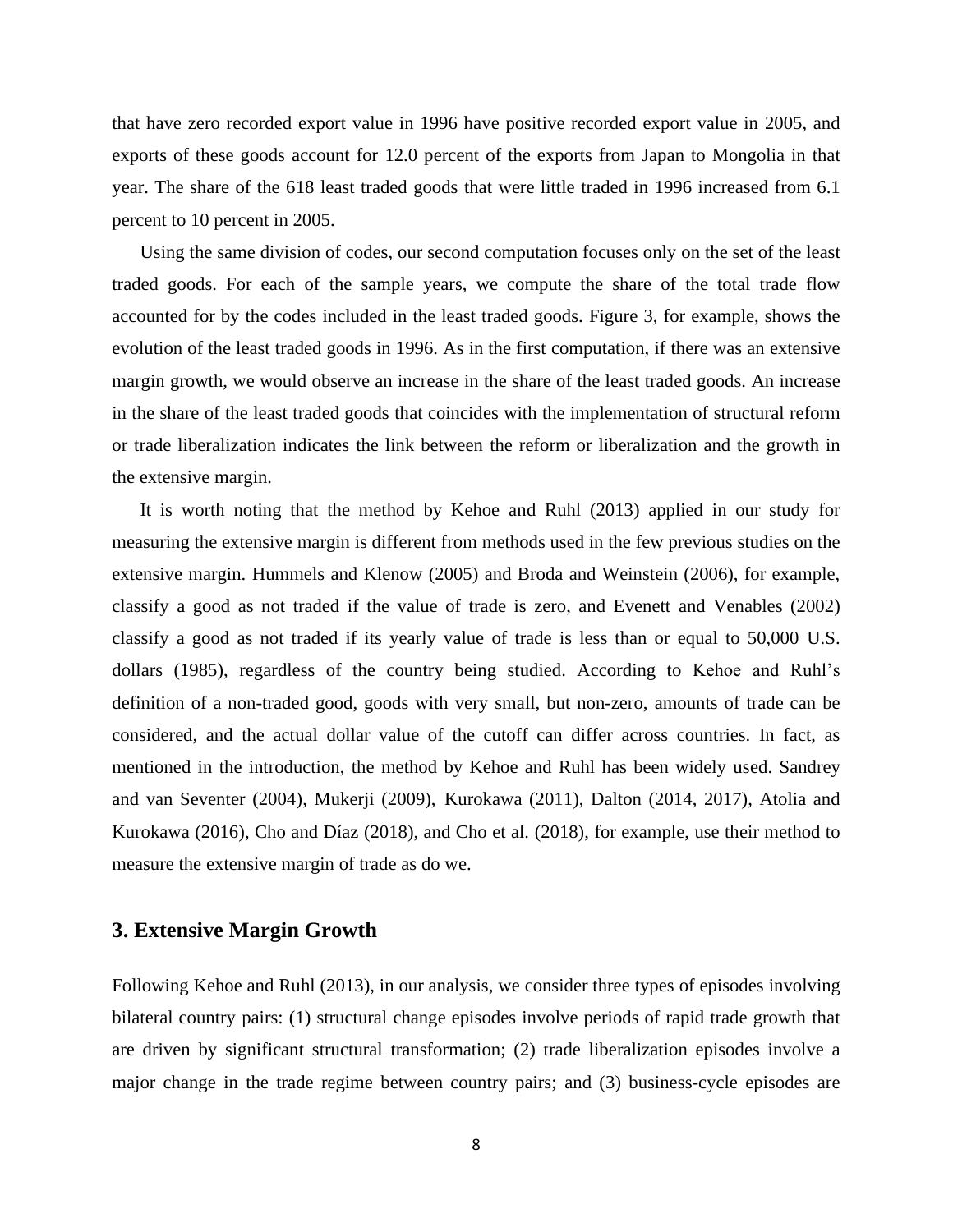that have zero recorded export value in 1996 have positive recorded export value in 2005, and exports of these goods account for 12.0 percent of the exports from Japan to Mongolia in that year. The share of the 618 least traded goods that were little traded in 1996 increased from 6.1 percent to 10 percent in 2005.

Using the same division of codes, our second computation focuses only on the set of the least traded goods. For each of the sample years, we compute the share of the total trade flow accounted for by the codes included in the least traded goods. Figure 3, for example, shows the evolution of the least traded goods in 1996. As in the first computation, if there was an extensive margin growth, we would observe an increase in the share of the least traded goods. An increase in the share of the least traded goods that coincides with the implementation of structural reform or trade liberalization indicates the link between the reform or liberalization and the growth in the extensive margin.

It is worth noting that the method by Kehoe and Ruhl (2013) applied in our study for measuring the extensive margin is different from methods used in the few previous studies on the extensive margin. Hummels and Klenow (2005) and Broda and Weinstein (2006), for example, classify a good as not traded if the value of trade is zero, and Evenett and Venables (2002) classify a good as not traded if its yearly value of trade is less than or equal to 50,000 U.S. dollars (1985), regardless of the country being studied. According to Kehoe and Ruhl's definition of a non-traded good, goods with very small, but non-zero, amounts of trade can be considered, and the actual dollar value of the cutoff can differ across countries. In fact, as mentioned in the introduction, the method by Kehoe and Ruhl has been widely used. Sandrey and van Seventer (2004), Mukerji (2009), Kurokawa (2011), Dalton (2014, 2017), Atolia and Kurokawa (2016), Cho and Díaz (2018), and Cho et al. (2018), for example, use their method to measure the extensive margin of trade as do we.

## **3. Extensive Margin Growth**

Following Kehoe and Ruhl (2013), in our analysis, we consider three types of episodes involving bilateral country pairs: (1) structural change episodes involve periods of rapid trade growth that are driven by significant structural transformation; (2) trade liberalization episodes involve a major change in the trade regime between country pairs; and (3) business-cycle episodes are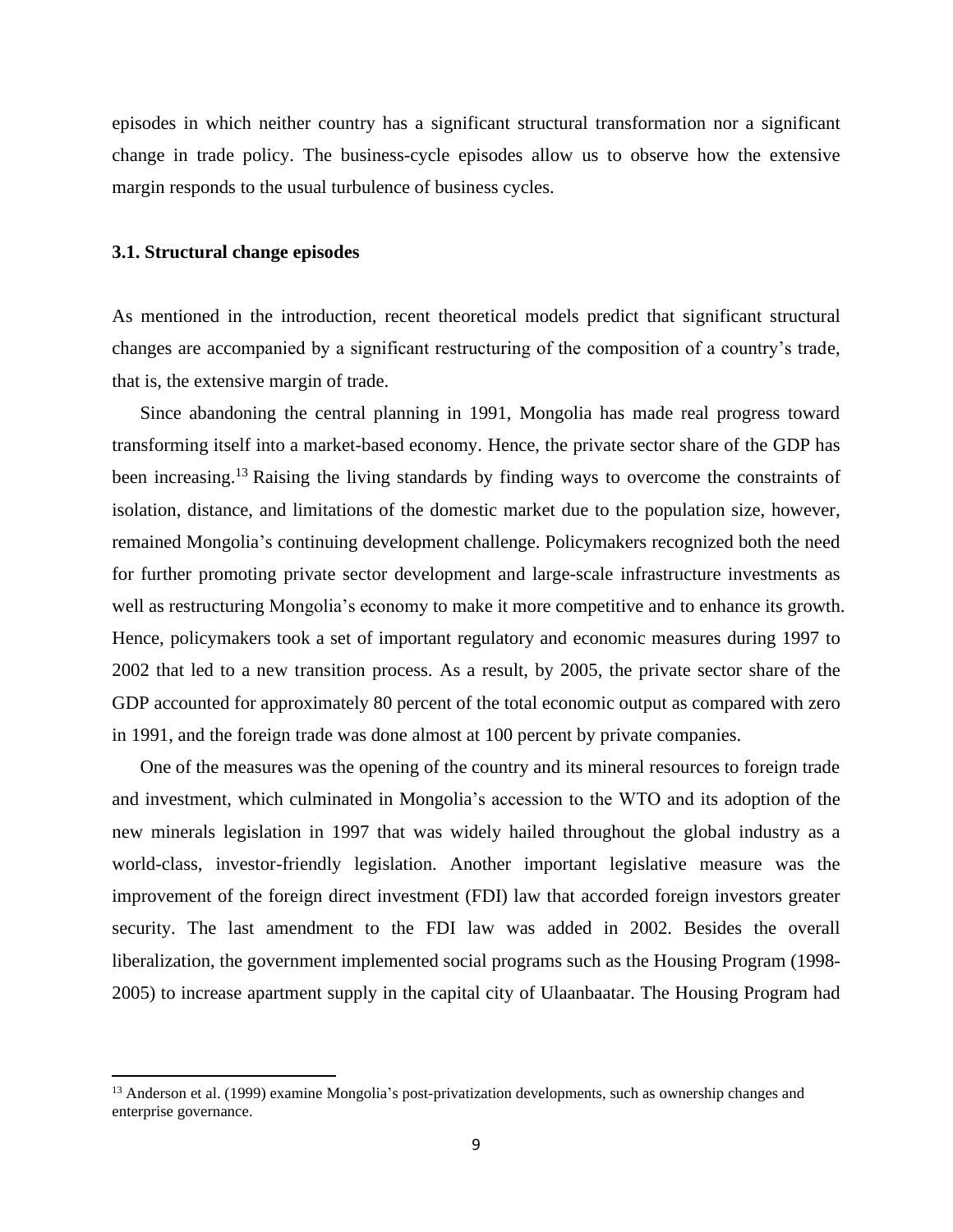episodes in which neither country has a significant structural transformation nor a significant change in trade policy. The business-cycle episodes allow us to observe how the extensive margin responds to the usual turbulence of business cycles.

## **3.1. Structural change episodes**

As mentioned in the introduction, recent theoretical models predict that significant structural changes are accompanied by a significant restructuring of the composition of a country's trade, that is, the extensive margin of trade.

Since abandoning the central planning in 1991, Mongolia has made real progress toward transforming itself into a market-based economy. Hence, the private sector share of the GDP has been increasing.<sup>13</sup> Raising the living standards by finding ways to overcome the constraints of isolation, distance, and limitations of the domestic market due to the population size, however, remained Mongolia's continuing development challenge. Policymakers recognized both the need for further promoting private sector development and large-scale infrastructure investments as well as restructuring Mongolia's economy to make it more competitive and to enhance its growth. Hence, policymakers took a set of important regulatory and economic measures during 1997 to 2002 that led to a new transition process. As a result, by 2005, the private sector share of the GDP accounted for approximately 80 percent of the total economic output as compared with zero in 1991, and the foreign trade was done almost at 100 percent by private companies.

One of the measures was the opening of the country and its mineral resources to foreign trade and investment, which culminated in Mongolia's accession to the WTO and its adoption of the new minerals legislation in 1997 that was widely hailed throughout the global industry as a world-class, investor-friendly legislation. Another important legislative measure was the improvement of the foreign direct investment (FDI) law that accorded foreign investors greater security. The last amendment to the FDI law was added in 2002. Besides the overall liberalization, the government implemented social programs such as the Housing Program (1998- 2005) to increase apartment supply in the capital city of Ulaanbaatar. The Housing Program had

<sup>&</sup>lt;sup>13</sup> Anderson et al. (1999) examine Mongolia's post-privatization developments, such as ownership changes and enterprise governance.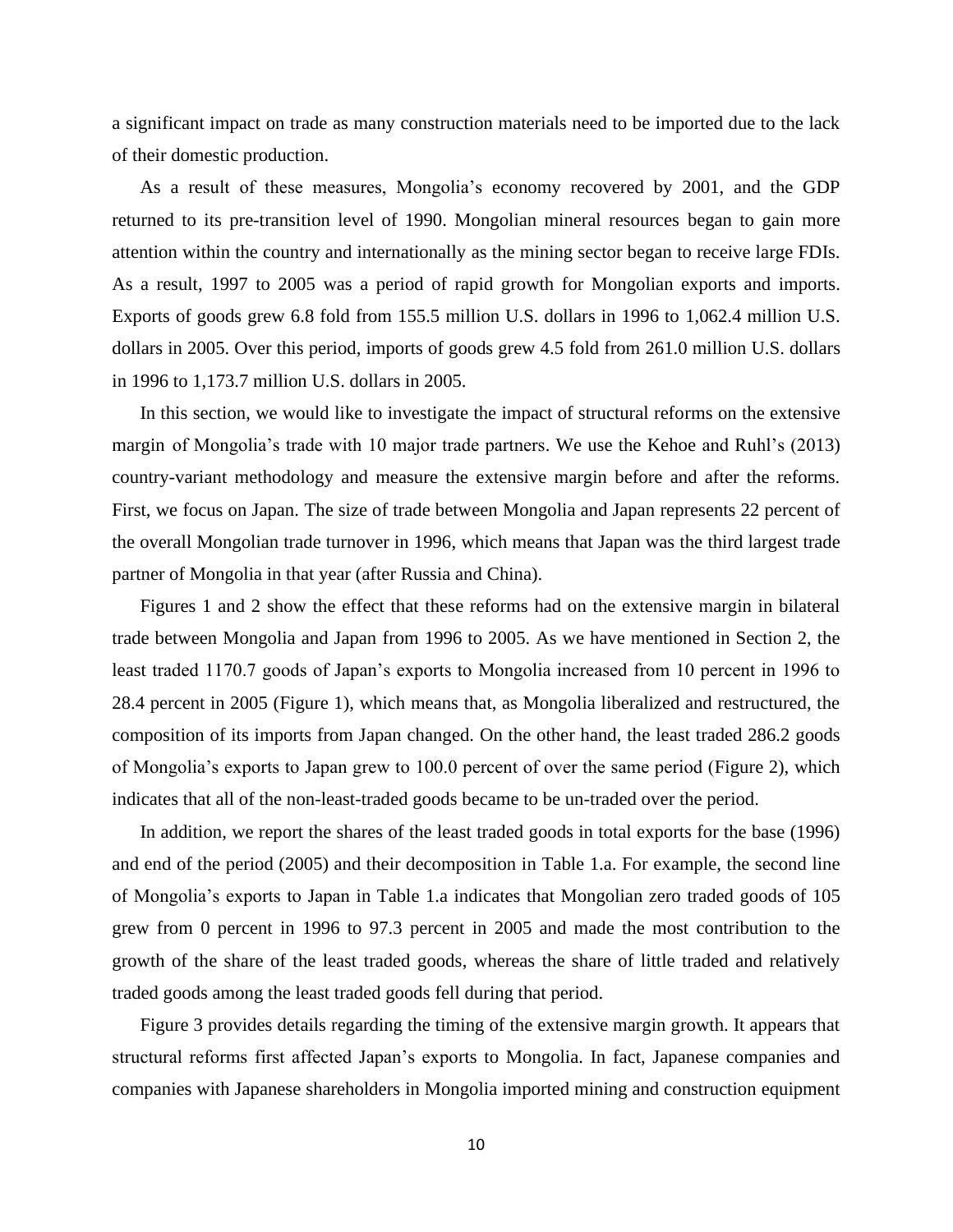a significant impact on trade as many construction materials need to be imported due to the lack of their domestic production.

As a result of these measures, Mongolia's economy recovered by 2001, and the GDP returned to its pre-transition level of 1990. Mongolian mineral resources began to gain more attention within the country and internationally as the mining sector began to receive large FDIs. As a result, 1997 to 2005 was a period of rapid growth for Mongolian exports and imports. Exports of goods grew 6.8 fold from 155.5 million U.S. dollars in 1996 to 1,062.4 million U.S. dollars in 2005. Over this period, imports of goods grew 4.5 fold from 261.0 million U.S. dollars in 1996 to 1,173.7 million U.S. dollars in 2005.

In this section, we would like to investigate the impact of structural reforms on the extensive margin of Mongolia's trade with 10 major trade partners. We use the Kehoe and Ruhl's (2013) country-variant methodology and measure the extensive margin before and after the reforms. First, we focus on Japan. The size of trade between Mongolia and Japan represents 22 percent of the overall Mongolian trade turnover in 1996, which means that Japan was the third largest trade partner of Mongolia in that year (after Russia and China).

Figures 1 and 2 show the effect that these reforms had on the extensive margin in bilateral trade between Mongolia and Japan from 1996 to 2005. As we have mentioned in Section 2, the least traded 1170.7 goods of Japan's exports to Mongolia increased from 10 percent in 1996 to 28.4 percent in 2005 (Figure 1), which means that, as Mongolia liberalized and restructured, the composition of its imports from Japan changed. On the other hand, the least traded 286.2 goods of Mongolia's exports to Japan grew to 100.0 percent of over the same period (Figure 2), which indicates that all of the non-least-traded goods became to be un-traded over the period.

In addition, we report the shares of the least traded goods in total exports for the base (1996) and end of the period (2005) and their decomposition in Table 1.a. For example, the second line of Mongolia's exports to Japan in Table 1.a indicates that Mongolian zero traded goods of 105 grew from 0 percent in 1996 to 97.3 percent in 2005 and made the most contribution to the growth of the share of the least traded goods, whereas the share of little traded and relatively traded goods among the least traded goods fell during that period.

Figure 3 provides details regarding the timing of the extensive margin growth. It appears that structural reforms first affected Japan's exports to Mongolia. In fact, Japanese companies and companies with Japanese shareholders in Mongolia imported mining and construction equipment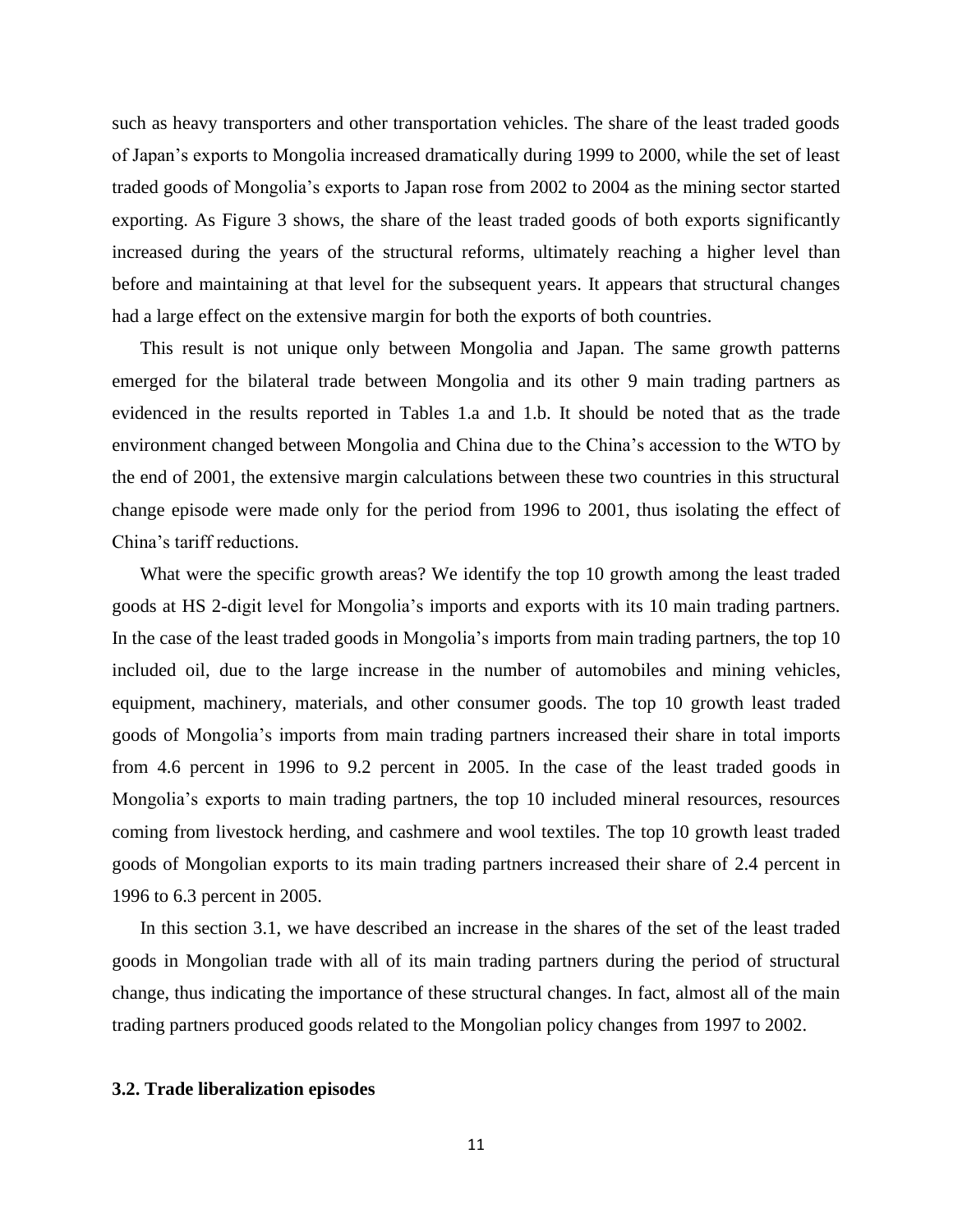such as heavy transporters and other transportation vehicles. The share of the least traded goods of Japan's exports to Mongolia increased dramatically during 1999 to 2000, while the set of least traded goods of Mongolia's exports to Japan rose from 2002 to 2004 as the mining sector started exporting. As Figure 3 shows, the share of the least traded goods of both exports significantly increased during the years of the structural reforms, ultimately reaching a higher level than before and maintaining at that level for the subsequent years. It appears that structural changes had a large effect on the extensive margin for both the exports of both countries.

This result is not unique only between Mongolia and Japan. The same growth patterns emerged for the bilateral trade between Mongolia and its other 9 main trading partners as evidenced in the results reported in Tables 1.a and 1.b. It should be noted that as the trade environment changed between Mongolia and China due to the China's accession to the WTO by the end of 2001, the extensive margin calculations between these two countries in this structural change episode were made only for the period from 1996 to 2001, thus isolating the effect of China's tariff reductions.

What were the specific growth areas? We identify the top 10 growth among the least traded goods at HS 2-digit level for Mongolia's imports and exports with its 10 main trading partners. In the case of the least traded goods in Mongolia's imports from main trading partners, the top 10 included oil, due to the large increase in the number of automobiles and mining vehicles, equipment, machinery, materials, and other consumer goods. The top 10 growth least traded goods of Mongolia's imports from main trading partners increased their share in total imports from 4.6 percent in 1996 to 9.2 percent in 2005. In the case of the least traded goods in Mongolia's exports to main trading partners, the top 10 included mineral resources, resources coming from livestock herding, and cashmere and wool textiles. The top 10 growth least traded goods of Mongolian exports to its main trading partners increased their share of 2.4 percent in 1996 to 6.3 percent in 2005.

In this section 3.1, we have described an increase in the shares of the set of the least traded goods in Mongolian trade with all of its main trading partners during the period of structural change, thus indicating the importance of these structural changes. In fact, almost all of the main trading partners produced goods related to the Mongolian policy changes from 1997 to 2002.

## **3.2. Trade liberalization episodes**

11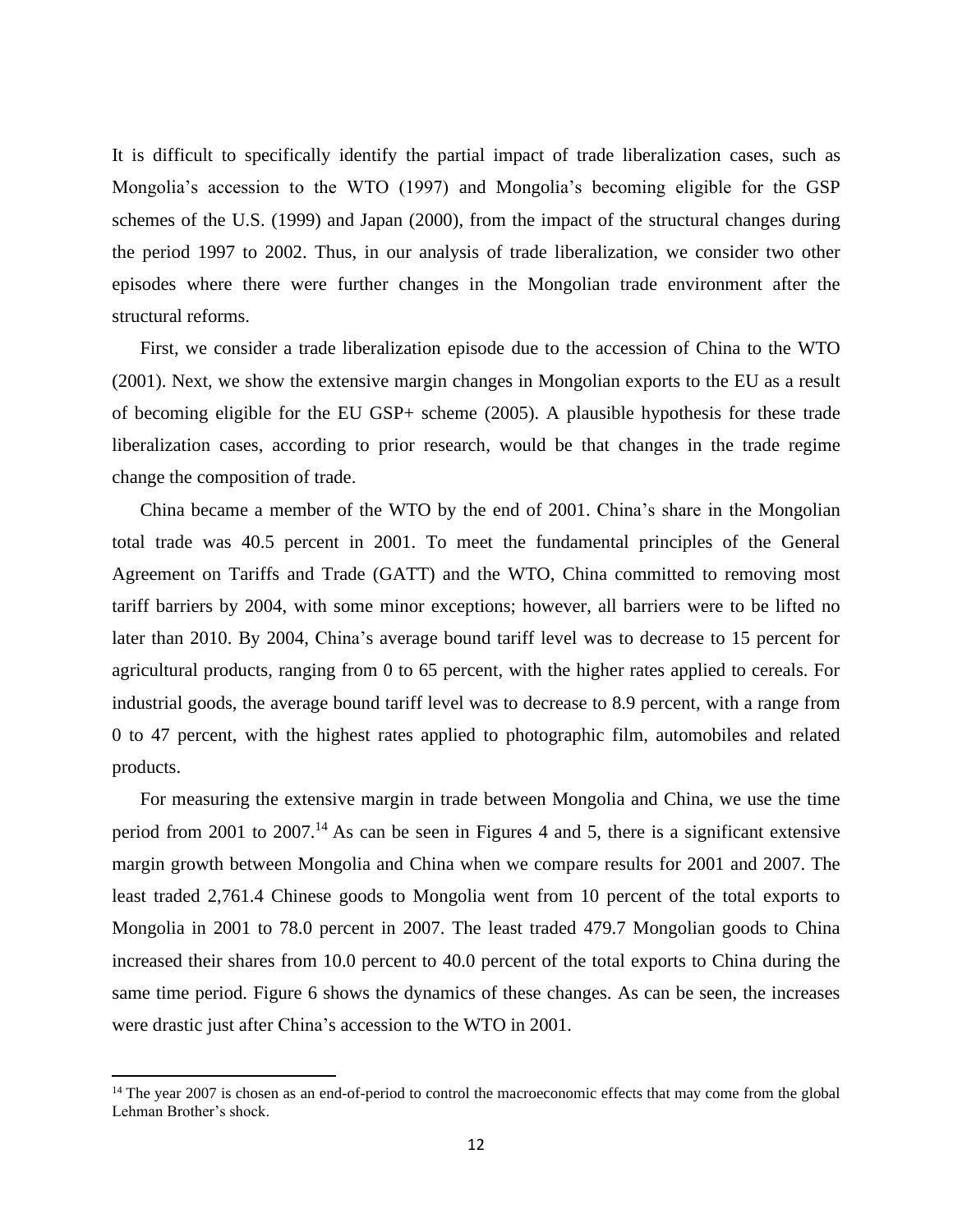It is difficult to specifically identify the partial impact of trade liberalization cases, such as Mongolia's accession to the WTO (1997) and Mongolia's becoming eligible for the GSP schemes of the U.S. (1999) and Japan (2000), from the impact of the structural changes during the period 1997 to 2002. Thus, in our analysis of trade liberalization, we consider two other episodes where there were further changes in the Mongolian trade environment after the structural reforms.

First, we consider a trade liberalization episode due to the accession of China to the WTO (2001). Next, we show the extensive margin changes in Mongolian exports to the EU as a result of becoming eligible for the EU GSP+ scheme (2005). A plausible hypothesis for these trade liberalization cases, according to prior research, would be that changes in the trade regime change the composition of trade.

China became a member of the WTO by the end of 2001. China's share in the Mongolian total trade was 40.5 percent in 2001. To meet the fundamental principles of the General Agreement on Tariffs and Trade (GATT) and the WTO, China committed to removing most tariff barriers by 2004, with some minor exceptions; however, all barriers were to be lifted no later than 2010. By 2004, China's average bound tariff level was to decrease to 15 percent for agricultural products, ranging from 0 to 65 percent, with the higher rates applied to cereals. For industrial goods, the average bound tariff level was to decrease to 8.9 percent, with a range from 0 to 47 percent, with the highest rates applied to photographic film, automobiles and related products.

For measuring the extensive margin in trade between Mongolia and China, we use the time period from 2001 to 2007.<sup>14</sup> As can be seen in Figures 4 and 5, there is a significant extensive margin growth between Mongolia and China when we compare results for 2001 and 2007. The least traded 2,761.4 Chinese goods to Mongolia went from 10 percent of the total exports to Mongolia in 2001 to 78.0 percent in 2007. The least traded 479.7 Mongolian goods to China increased their shares from 10.0 percent to 40.0 percent of the total exports to China during the same time period. Figure 6 shows the dynamics of these changes. As can be seen, the increases were drastic just after China's accession to the WTO in 2001.

<sup>&</sup>lt;sup>14</sup> The year 2007 is chosen as an end-of-period to control the macroeconomic effects that may come from the global Lehman Brother's shock.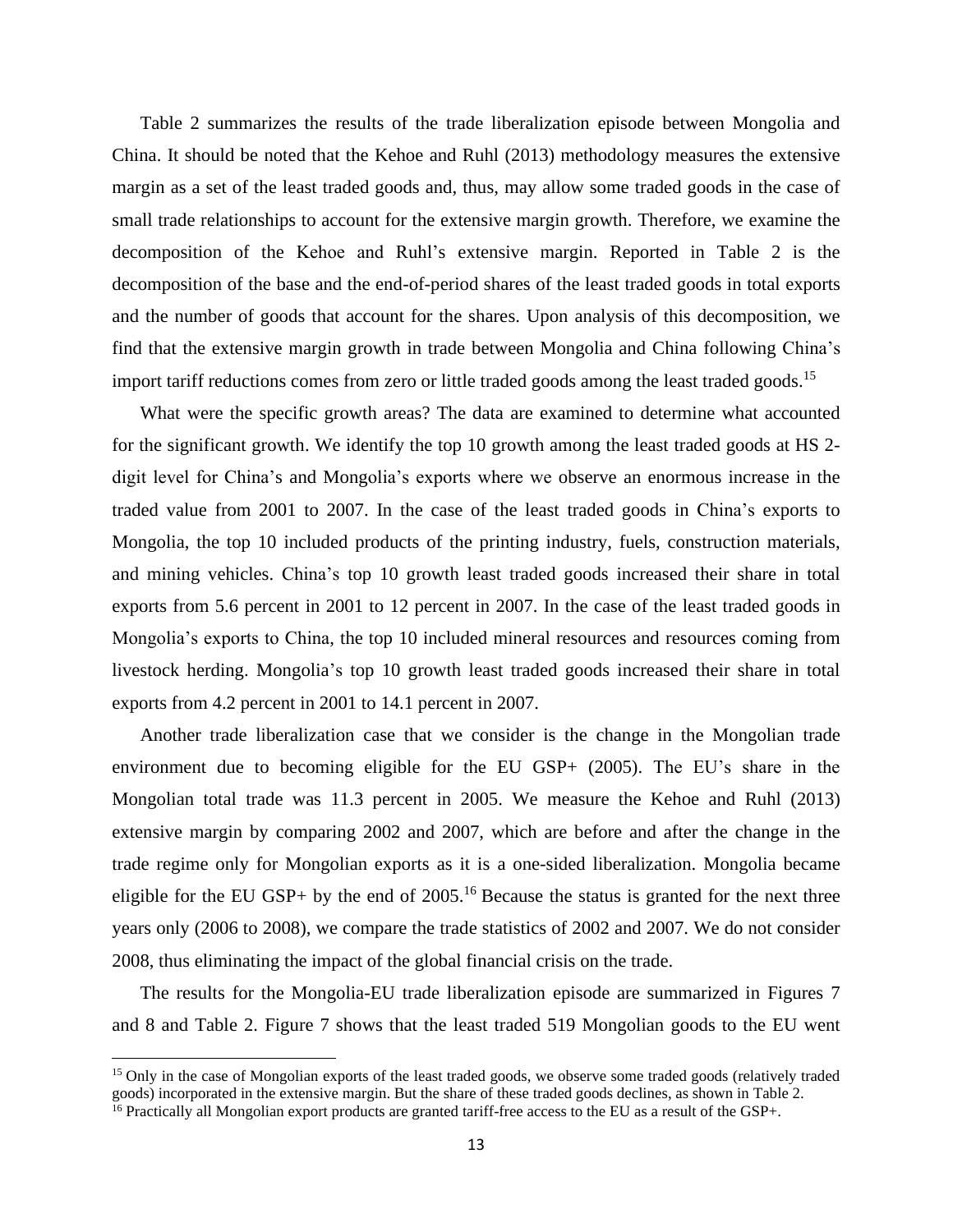Table 2 summarizes the results of the trade liberalization episode between Mongolia and China. It should be noted that the Kehoe and Ruhl (2013) methodology measures the extensive margin as a set of the least traded goods and, thus, may allow some traded goods in the case of small trade relationships to account for the extensive margin growth. Therefore, we examine the decomposition of the Kehoe and Ruhl's extensive margin. Reported in Table 2 is the decomposition of the base and the end-of-period shares of the least traded goods in total exports and the number of goods that account for the shares. Upon analysis of this decomposition, we find that the extensive margin growth in trade between Mongolia and China following China's import tariff reductions comes from zero or little traded goods among the least traded goods.<sup>15</sup>

What were the specific growth areas? The data are examined to determine what accounted for the significant growth. We identify the top 10 growth among the least traded goods at HS 2 digit level for China's and Mongolia's exports where we observe an enormous increase in the traded value from 2001 to 2007. In the case of the least traded goods in China's exports to Mongolia, the top 10 included products of the printing industry, fuels, construction materials, and mining vehicles. China's top 10 growth least traded goods increased their share in total exports from 5.6 percent in 2001 to 12 percent in 2007. In the case of the least traded goods in Mongolia's exports to China, the top 10 included mineral resources and resources coming from livestock herding. Mongolia's top 10 growth least traded goods increased their share in total exports from 4.2 percent in 2001 to 14.1 percent in 2007.

Another trade liberalization case that we consider is the change in the Mongolian trade environment due to becoming eligible for the EU GSP+ (2005). The EU's share in the Mongolian total trade was 11.3 percent in 2005. We measure the Kehoe and Ruhl (2013) extensive margin by comparing 2002 and 2007, which are before and after the change in the trade regime only for Mongolian exports as it is a one-sided liberalization. Mongolia became eligible for the EU GSP+ by the end of  $2005$ .<sup>16</sup> Because the status is granted for the next three years only (2006 to 2008), we compare the trade statistics of 2002 and 2007. We do not consider 2008, thus eliminating the impact of the global financial crisis on the trade.

The results for the Mongolia-EU trade liberalization episode are summarized in Figures 7 and 8 and Table 2. Figure 7 shows that the least traded 519 Mongolian goods to the EU went

<sup>&</sup>lt;sup>15</sup> Only in the case of Mongolian exports of the least traded goods, we observe some traded goods (relatively traded goods) incorporated in the extensive margin. But the share of these traded goods declines, as shown in Table 2.

<sup>&</sup>lt;sup>16</sup> Practically all Mongolian export products are granted tariff-free access to the EU as a result of the GSP+.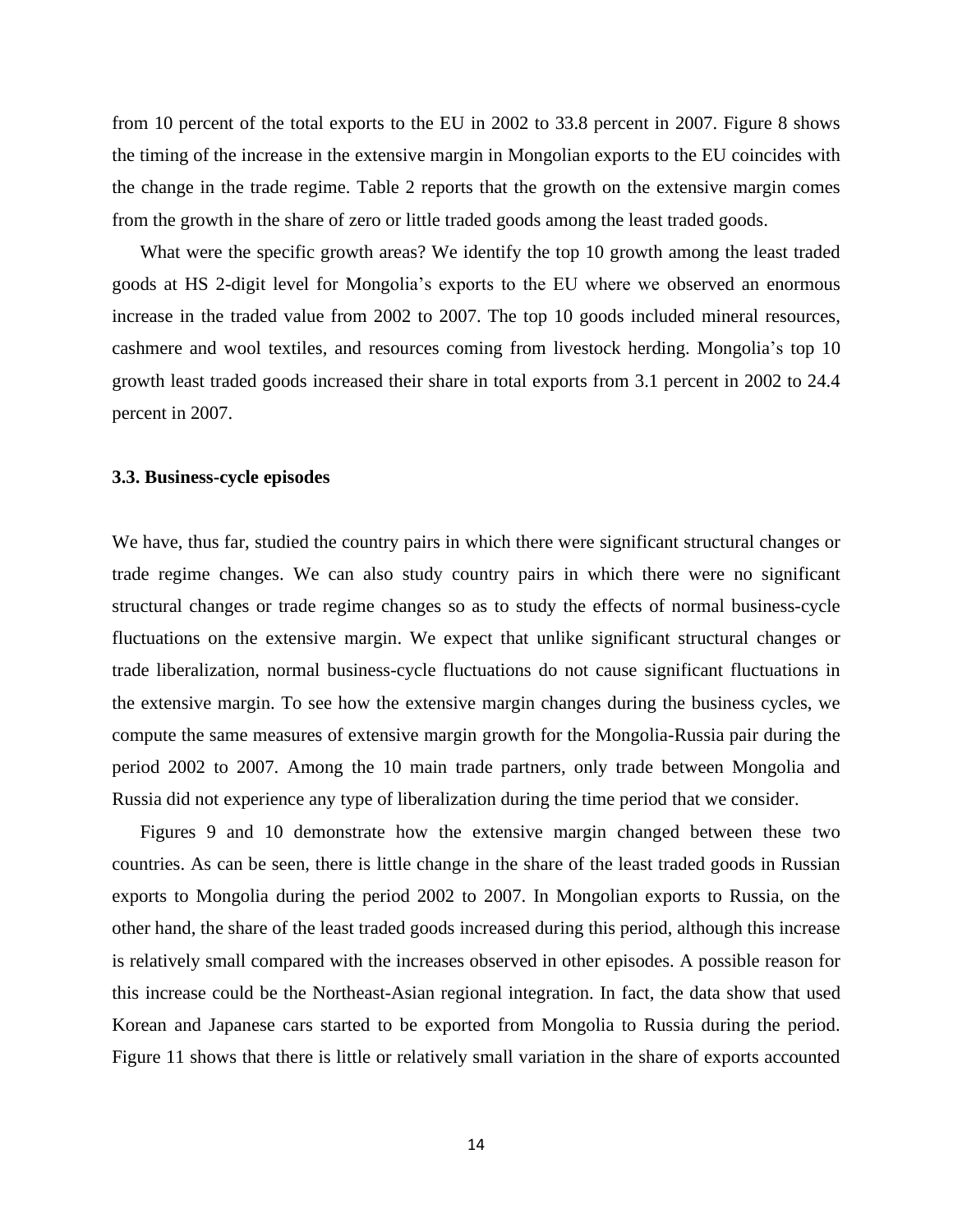from 10 percent of the total exports to the EU in 2002 to 33.8 percent in 2007. Figure 8 shows the timing of the increase in the extensive margin in Mongolian exports to the EU coincides with the change in the trade regime. Table 2 reports that the growth on the extensive margin comes from the growth in the share of zero or little traded goods among the least traded goods.

What were the specific growth areas? We identify the top 10 growth among the least traded goods at HS 2-digit level for Mongolia's exports to the EU where we observed an enormous increase in the traded value from 2002 to 2007. The top 10 goods included mineral resources, cashmere and wool textiles, and resources coming from livestock herding. Mongolia's top 10 growth least traded goods increased their share in total exports from 3.1 percent in 2002 to 24.4 percent in 2007.

## **3.3. Business-cycle episodes**

We have, thus far, studied the country pairs in which there were significant structural changes or trade regime changes. We can also study country pairs in which there were no significant structural changes or trade regime changes so as to study the effects of normal business-cycle fluctuations on the extensive margin. We expect that unlike significant structural changes or trade liberalization, normal business-cycle fluctuations do not cause significant fluctuations in the extensive margin. To see how the extensive margin changes during the business cycles, we compute the same measures of extensive margin growth for the Mongolia-Russia pair during the period 2002 to 2007. Among the 10 main trade partners, only trade between Mongolia and Russia did not experience any type of liberalization during the time period that we consider.

Figures 9 and 10 demonstrate how the extensive margin changed between these two countries. As can be seen, there is little change in the share of the least traded goods in Russian exports to Mongolia during the period 2002 to 2007. In Mongolian exports to Russia, on the other hand, the share of the least traded goods increased during this period, although this increase is relatively small compared with the increases observed in other episodes. A possible reason for this increase could be the Northeast-Asian regional integration. In fact, the data show that used Korean and Japanese cars started to be exported from Mongolia to Russia during the period. Figure 11 shows that there is little or relatively small variation in the share of exports accounted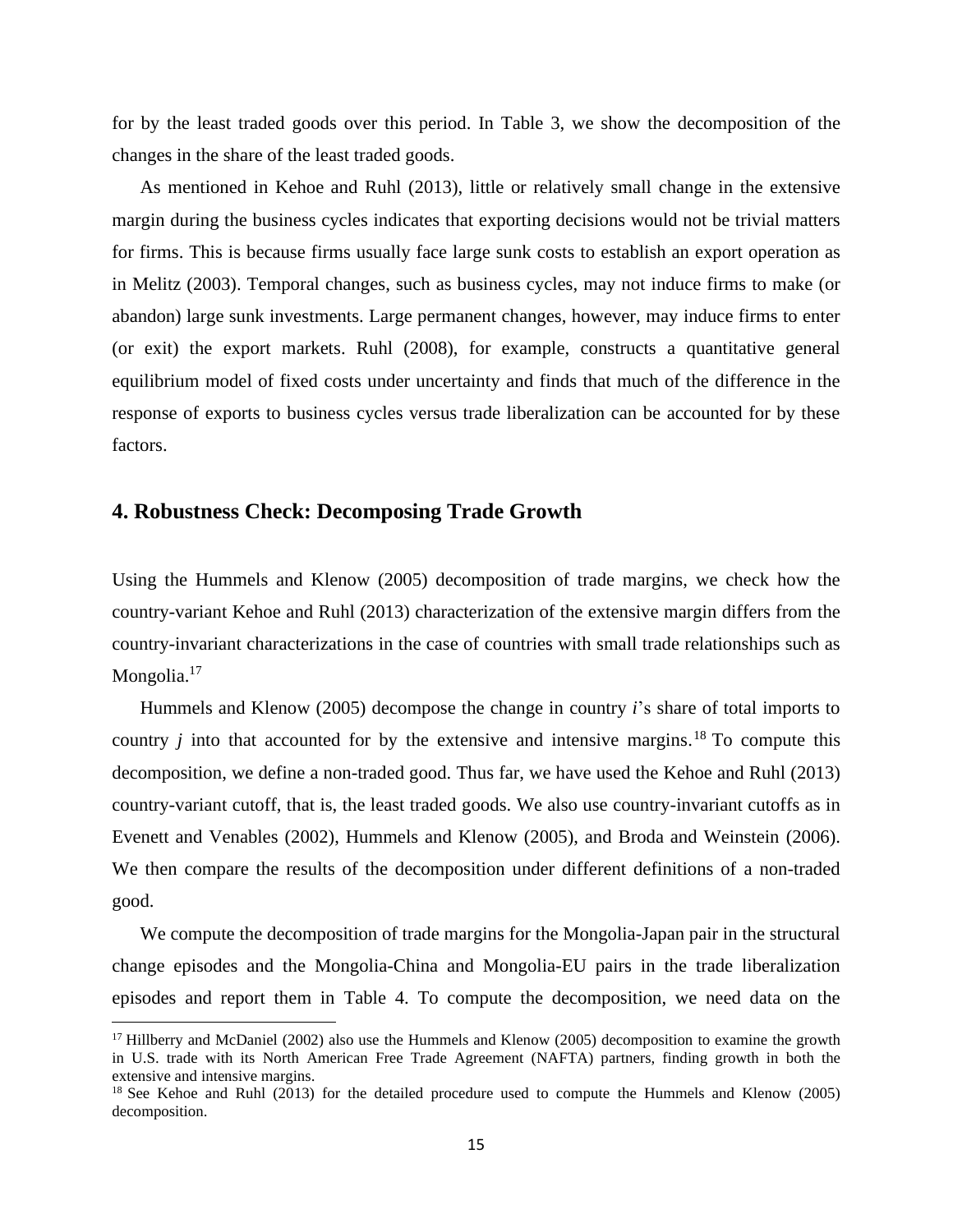for by the least traded goods over this period. In Table 3, we show the decomposition of the changes in the share of the least traded goods.

As mentioned in Kehoe and Ruhl (2013), little or relatively small change in the extensive margin during the business cycles indicates that exporting decisions would not be trivial matters for firms. This is because firms usually face large sunk costs to establish an export operation as in Melitz (2003). Temporal changes, such as business cycles, may not induce firms to make (or abandon) large sunk investments. Large permanent changes, however, may induce firms to enter (or exit) the export markets. Ruhl (2008), for example, constructs a quantitative general equilibrium model of fixed costs under uncertainty and finds that much of the difference in the response of exports to business cycles versus trade liberalization can be accounted for by these factors.

## **4. Robustness Check: Decomposing Trade Growth**

Using the Hummels and Klenow (2005) decomposition of trade margins, we check how the country-variant Kehoe and Ruhl (2013) characterization of the extensive margin differs from the country-invariant characterizations in the case of countries with small trade relationships such as Mongolia.<sup>17</sup>

Hummels and Klenow (2005) decompose the change in country *i*'s share of total imports to country  $j$  into that accounted for by the extensive and intensive margins.<sup>18</sup> To compute this decomposition, we define a non-traded good. Thus far, we have used the Kehoe and Ruhl (2013) country-variant cutoff, that is, the least traded goods. We also use country-invariant cutoffs as in Evenett and Venables (2002), Hummels and Klenow (2005), and Broda and Weinstein (2006). We then compare the results of the decomposition under different definitions of a non-traded good.

We compute the decomposition of trade margins for the Mongolia-Japan pair in the structural change episodes and the Mongolia-China and Mongolia-EU pairs in the trade liberalization episodes and report them in Table 4. To compute the decomposition, we need data on the

<sup>&</sup>lt;sup>17</sup> Hillberry and McDaniel (2002) also use the Hummels and Klenow (2005) decomposition to examine the growth in U.S. trade with its North American Free Trade Agreement (NAFTA) partners, finding growth in both the extensive and intensive margins.

<sup>&</sup>lt;sup>18</sup> See Kehoe and Ruhl (2013) for the detailed procedure used to compute the Hummels and Klenow (2005) decomposition.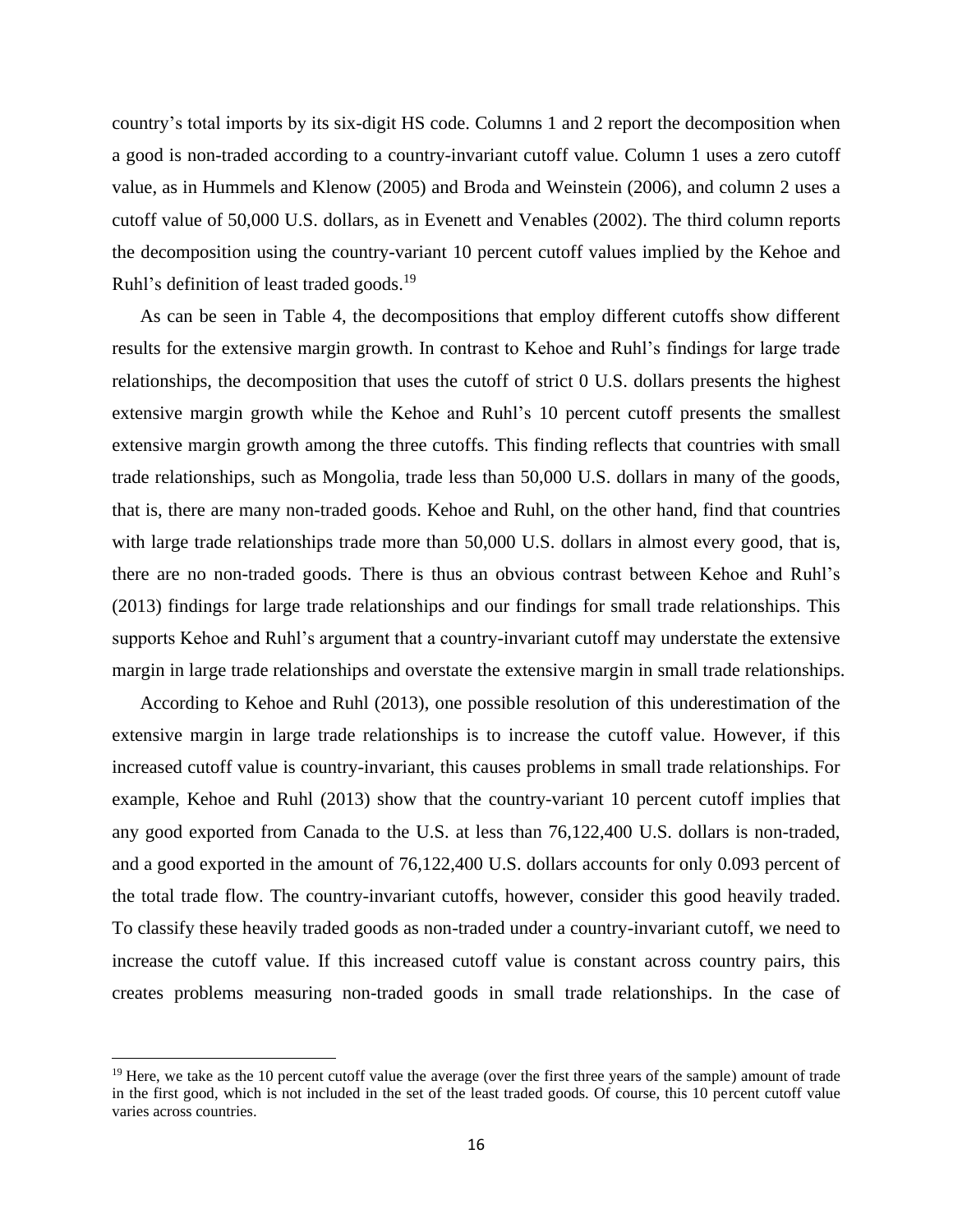country's total imports by its six-digit HS code. Columns 1 and 2 report the decomposition when a good is non-traded according to a country-invariant cutoff value. Column 1 uses a zero cutoff value, as in Hummels and Klenow (2005) and Broda and Weinstein (2006), and column 2 uses a cutoff value of 50,000 U.S. dollars, as in Evenett and Venables (2002). The third column reports the decomposition using the country-variant 10 percent cutoff values implied by the Kehoe and Ruhl's definition of least traded goods.<sup>19</sup>

As can be seen in Table 4, the decompositions that employ different cutoffs show different results for the extensive margin growth. In contrast to Kehoe and Ruhl's findings for large trade relationships, the decomposition that uses the cutoff of strict 0 U.S. dollars presents the highest extensive margin growth while the Kehoe and Ruhl's 10 percent cutoff presents the smallest extensive margin growth among the three cutoffs. This finding reflects that countries with small trade relationships, such as Mongolia, trade less than 50,000 U.S. dollars in many of the goods, that is, there are many non-traded goods. Kehoe and Ruhl, on the other hand, find that countries with large trade relationships trade more than 50,000 U.S. dollars in almost every good, that is, there are no non-traded goods. There is thus an obvious contrast between Kehoe and Ruhl's (2013) findings for large trade relationships and our findings for small trade relationships. This supports Kehoe and Ruhl's argument that a country-invariant cutoff may understate the extensive margin in large trade relationships and overstate the extensive margin in small trade relationships.

According to Kehoe and Ruhl (2013), one possible resolution of this underestimation of the extensive margin in large trade relationships is to increase the cutoff value. However, if this increased cutoff value is country-invariant, this causes problems in small trade relationships. For example, Kehoe and Ruhl (2013) show that the country-variant 10 percent cutoff implies that any good exported from Canada to the U.S. at less than 76,122,400 U.S. dollars is non-traded, and a good exported in the amount of 76,122,400 U.S. dollars accounts for only 0.093 percent of the total trade flow. The country-invariant cutoffs, however, consider this good heavily traded. To classify these heavily traded goods as non-traded under a country-invariant cutoff, we need to increase the cutoff value. If this increased cutoff value is constant across country pairs, this creates problems measuring non-traded goods in small trade relationships. In the case of

 $19$  Here, we take as the 10 percent cutoff value the average (over the first three years of the sample) amount of trade in the first good, which is not included in the set of the least traded goods. Of course, this 10 percent cutoff value varies across countries.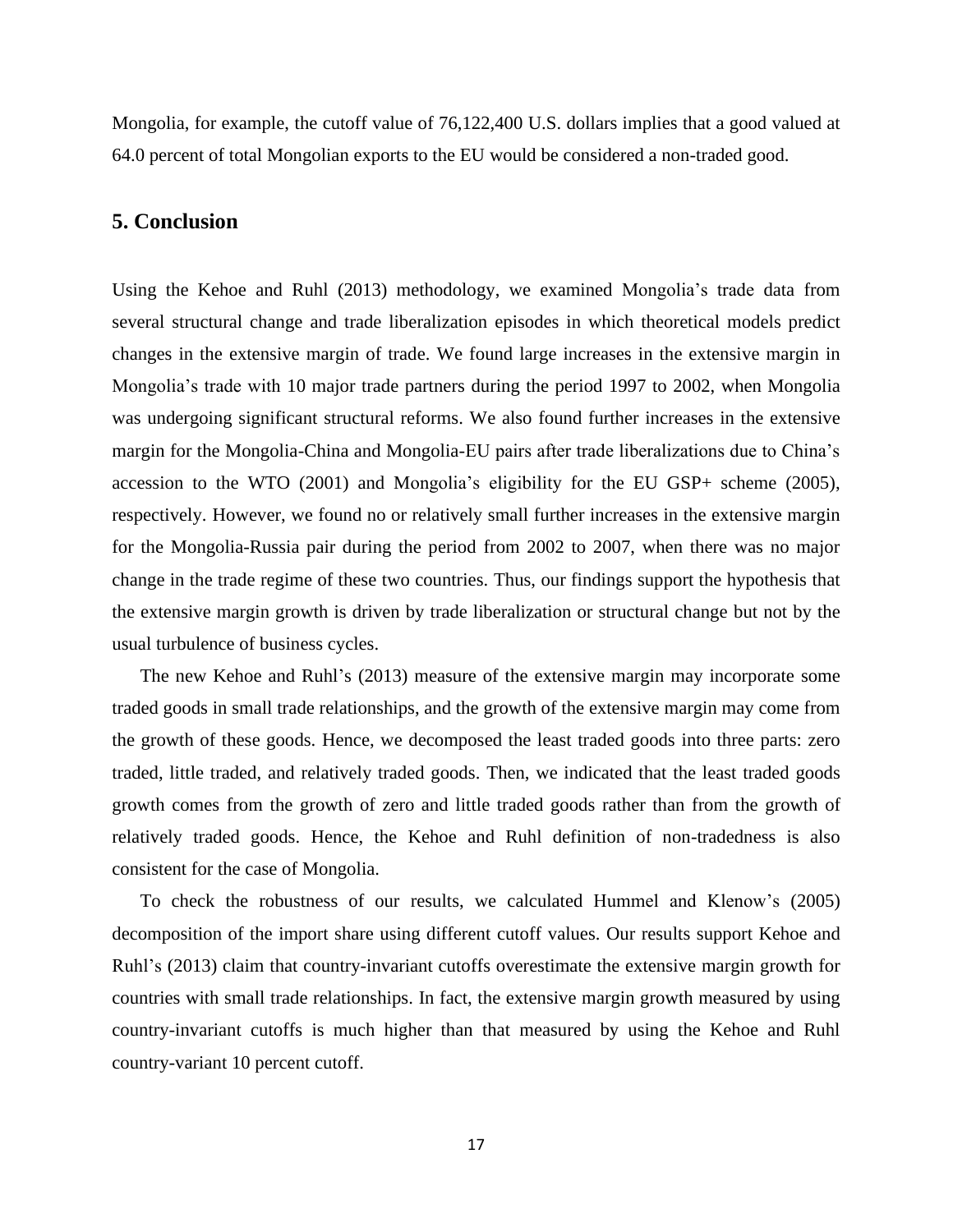Mongolia, for example, the cutoff value of 76,122,400 U.S. dollars implies that a good valued at 64.0 percent of total Mongolian exports to the EU would be considered a non-traded good.

## **5. Conclusion**

Using the Kehoe and Ruhl (2013) methodology, we examined Mongolia's trade data from several structural change and trade liberalization episodes in which theoretical models predict changes in the extensive margin of trade. We found large increases in the extensive margin in Mongolia's trade with 10 major trade partners during the period 1997 to 2002, when Mongolia was undergoing significant structural reforms. We also found further increases in the extensive margin for the Mongolia-China and Mongolia-EU pairs after trade liberalizations due to China's accession to the WTO (2001) and Mongolia's eligibility for the EU GSP+ scheme (2005), respectively. However, we found no or relatively small further increases in the extensive margin for the Mongolia-Russia pair during the period from 2002 to 2007, when there was no major change in the trade regime of these two countries. Thus, our findings support the hypothesis that the extensive margin growth is driven by trade liberalization or structural change but not by the usual turbulence of business cycles.

The new Kehoe and Ruhl's (2013) measure of the extensive margin may incorporate some traded goods in small trade relationships, and the growth of the extensive margin may come from the growth of these goods. Hence, we decomposed the least traded goods into three parts: zero traded, little traded, and relatively traded goods. Then, we indicated that the least traded goods growth comes from the growth of zero and little traded goods rather than from the growth of relatively traded goods. Hence, the Kehoe and Ruhl definition of non-tradedness is also consistent for the case of Mongolia.

To check the robustness of our results, we calculated Hummel and Klenow's (2005) decomposition of the import share using different cutoff values. Our results support Kehoe and Ruhl's (2013) claim that country-invariant cutoffs overestimate the extensive margin growth for countries with small trade relationships. In fact, the extensive margin growth measured by using country-invariant cutoffs is much higher than that measured by using the Kehoe and Ruhl country-variant 10 percent cutoff.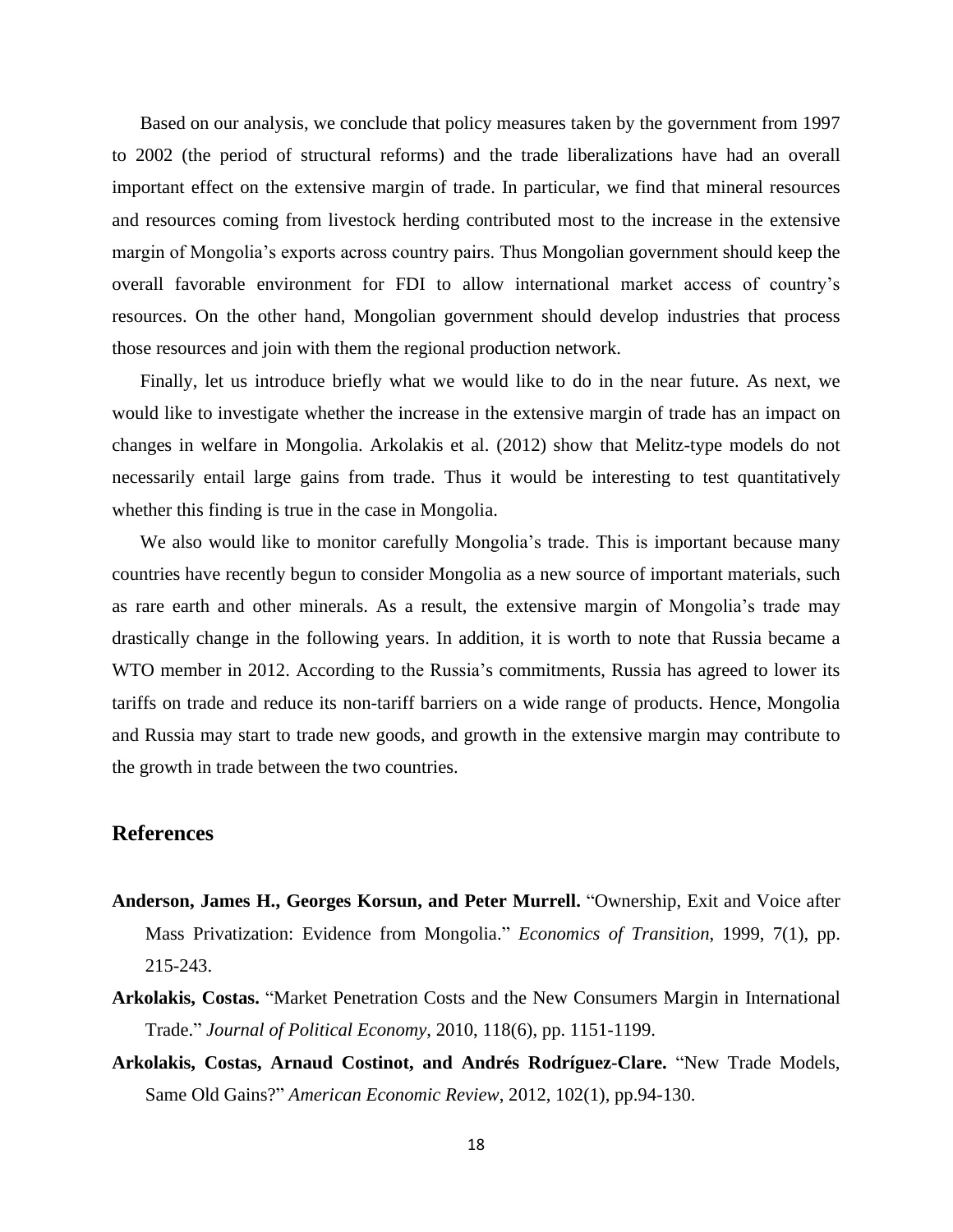Based on our analysis, we conclude that policy measures taken by the government from 1997 to 2002 (the period of structural reforms) and the trade liberalizations have had an overall important effect on the extensive margin of trade. In particular, we find that mineral resources and resources coming from livestock herding contributed most to the increase in the extensive margin of Mongolia's exports across country pairs. Thus Mongolian government should keep the overall favorable environment for FDI to allow international market access of country's resources. On the other hand, Mongolian government should develop industries that process those resources and join with them the regional production network.

Finally, let us introduce briefly what we would like to do in the near future. As next, we would like to investigate whether the increase in the extensive margin of trade has an impact on changes in welfare in Mongolia. Arkolakis et al. (2012) show that Melitz-type models do not necessarily entail large gains from trade. Thus it would be interesting to test quantitatively whether this finding is true in the case in Mongolia.

We also would like to monitor carefully Mongolia's trade. This is important because many countries have recently begun to consider Mongolia as a new source of important materials, such as rare earth and other minerals. As a result, the extensive margin of Mongolia's trade may drastically change in the following years. In addition, it is worth to note that Russia became a WTO member in 2012. According to the Russia's commitments, Russia has agreed to lower its tariffs on trade and reduce its non-tariff barriers on a wide range of products. Hence, Mongolia and Russia may start to trade new goods, and growth in the extensive margin may contribute to the growth in trade between the two countries.

## **References**

- **Anderson, James H., Georges Korsun, and Peter Murrell.** "Ownership, Exit and Voice after Mass Privatization: Evidence from Mongolia." *Economics of Transition*, 1999, 7(1), pp. 215-243.
- **Arkolakis, Costas.** "Market Penetration Costs and the New Consumers Margin in International Trade." *Journal of Political Economy*, 2010, 118(6), pp. 1151-1199.
- **Arkolakis, Costas, Arnaud Costinot, and Andrés Rodríguez-Clare.** "New Trade Models, Same Old Gains?" *American Economic Review*, 2012, 102(1), pp.94-130.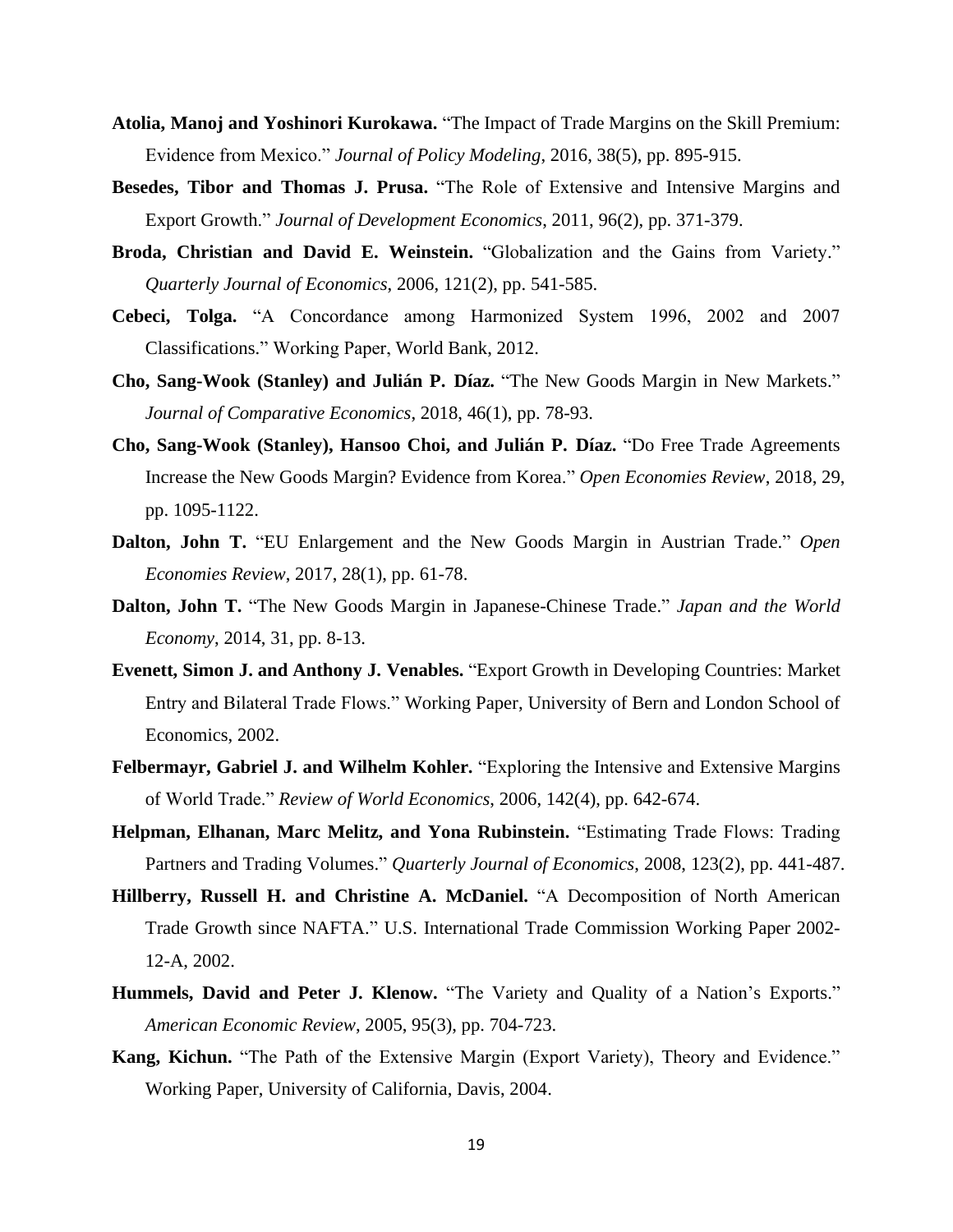- **Atolia, Manoj and Yoshinori Kurokawa.** "The Impact of Trade Margins on the Skill Premium: Evidence from Mexico." *Journal of Policy Modeling*, 2016, 38(5), pp. 895-915.
- **Besedes, Tibor and Thomas J. Prusa.** "The Role of Extensive and Intensive Margins and Export Growth." *Journal of Development Economics*, 2011, 96(2), pp. 371-379.
- **Broda, Christian and David E. Weinstein.** "Globalization and the Gains from Variety." *Quarterly Journal of Economics*, 2006, 121(2), pp. 541-585.
- **Cebeci, Tolga.** "A Concordance among Harmonized System 1996, 2002 and 2007 Classifications." Working Paper, World Bank, 2012.
- **Cho, Sang-Wook (Stanley) and Julián P. Díaz.** "The New Goods Margin in New Markets." *Journal of Comparative Economics*, 2018, 46(1), pp. 78-93.
- **Cho, Sang-Wook (Stanley), Hansoo Choi, and Julián P. Díaz.** "Do Free Trade Agreements Increase the New Goods Margin? Evidence from Korea." *Open Economies Review*, 2018, 29, pp. 1095-1122.
- **Dalton, John T.** "EU Enlargement and the New Goods Margin in Austrian Trade." *Open Economies Review*, 2017, 28(1), pp. 61-78.
- **Dalton, John T.** "The New Goods Margin in Japanese-Chinese Trade." *Japan and the World Economy*, 2014, 31, pp. 8-13.
- **Evenett, Simon J. and Anthony J. Venables.** "Export Growth in Developing Countries: Market Entry and Bilateral Trade Flows." Working Paper, University of Bern and London School of Economics, 2002.
- **Felbermayr, Gabriel J. and Wilhelm Kohler.** "Exploring the Intensive and Extensive Margins of World Trade." *Review of World Economics*, 2006, 142(4), pp. 642-674.
- **Helpman, Elhanan, Marc Melitz, and Yona Rubinstein.** "Estimating Trade Flows: Trading Partners and Trading Volumes." *Quarterly Journal of Economics*, 2008, 123(2), pp. 441-487.
- **Hillberry, Russell H. and Christine A. McDaniel.** "A Decomposition of North American Trade Growth since NAFTA." U.S. International Trade Commission Working Paper 2002- 12-A, 2002.
- **Hummels, David and Peter J. Klenow.** "The Variety and Quality of a Nation's Exports." *American Economic Review*, 2005, 95(3), pp. 704-723.
- **Kang, Kichun.** "The Path of the Extensive Margin (Export Variety), Theory and Evidence." Working Paper, University of California, Davis, 2004.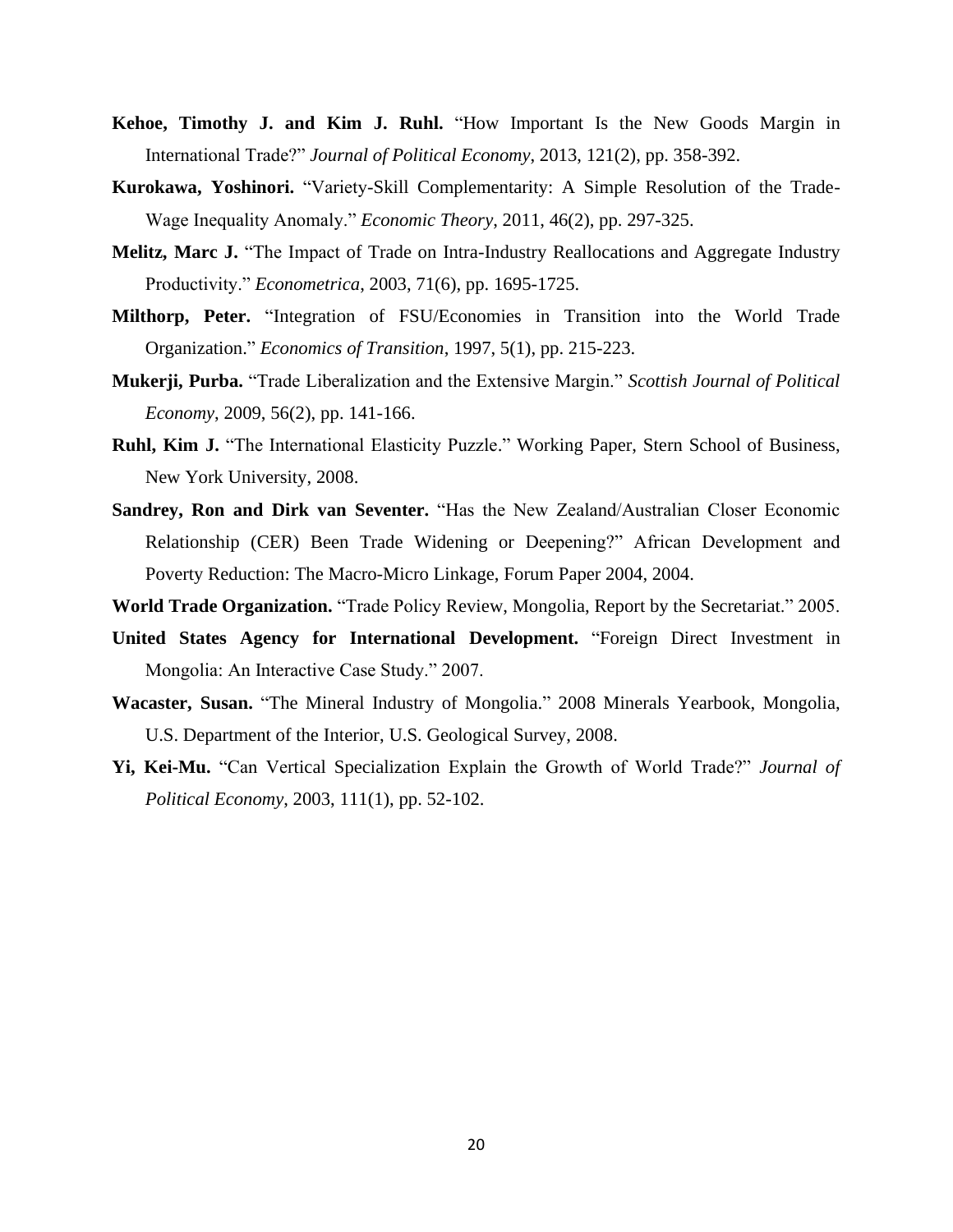- **Kehoe, Timothy J. and Kim J. Ruhl.** "How Important Is the New Goods Margin in International Trade?" *Journal of Political Economy*, 2013, 121(2), pp. 358-392.
- **Kurokawa, Yoshinori.** "Variety-Skill Complementarity: A Simple Resolution of the Trade-Wage Inequality Anomaly." *Economic Theory*, 2011, 46(2), pp. 297-325.
- **Melitz, Marc J.** "The Impact of Trade on Intra-Industry Reallocations and Aggregate Industry Productivity." *Econometrica*, 2003, 71(6), pp. 1695-1725.
- **Milthorp, Peter.** "Integration of FSU/Economies in Transition into the World Trade Organization." *Economics of Transition*, 1997, 5(1), pp. 215-223.
- **Mukerji, Purba.** "Trade Liberalization and the Extensive Margin." *Scottish Journal of Political Economy*, 2009, 56(2), pp. 141-166.
- **Ruhl, Kim J.** "The International Elasticity Puzzle." Working Paper, Stern School of Business, New York University, 2008.
- **Sandrey, Ron and Dirk van Seventer.** "Has the New Zealand/Australian Closer Economic Relationship (CER) Been Trade Widening or Deepening?" African Development and Poverty Reduction: The Macro-Micro Linkage, Forum Paper 2004, 2004.
- **World Trade Organization.** "Trade Policy Review, Mongolia, Report by the Secretariat." 2005.
- **United States Agency for International Development.** "Foreign Direct Investment in Mongolia: An Interactive Case Study." 2007.
- **Wacaster, Susan.** "The Mineral Industry of Mongolia." 2008 Minerals Yearbook, Mongolia, U.S. Department of the Interior, U.S. Geological Survey, 2008.
- **Yi, Kei-Mu.** "Can Vertical Specialization Explain the Growth of World Trade?" *Journal of Political Economy*, 2003, 111(1), pp. 52-102.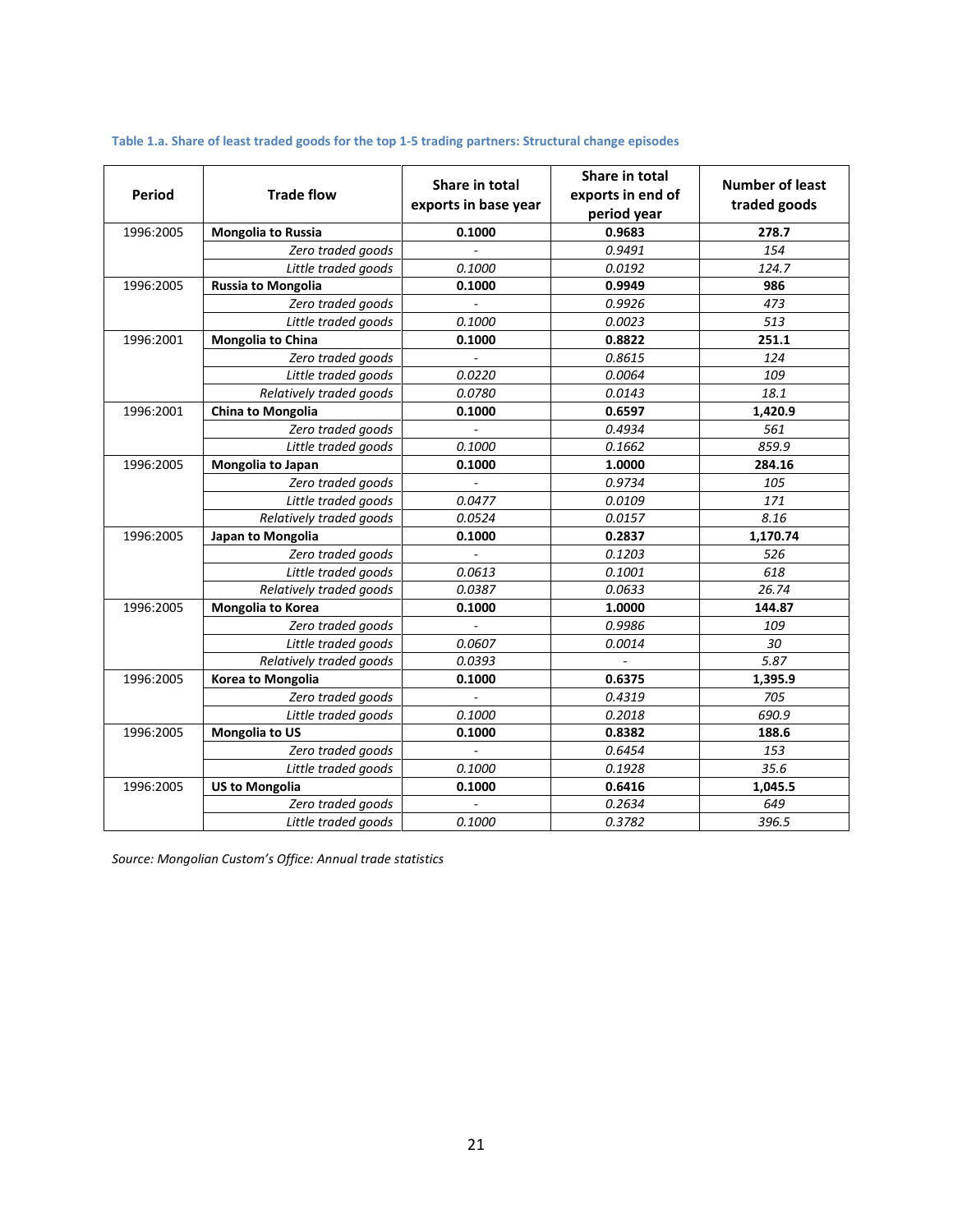| <b>Period</b>                   | <b>Trade flow</b>        | Share in total<br>exports in base year | Share in total<br>exports in end of<br>period year | <b>Number of least</b><br>traded goods |  |
|---------------------------------|--------------------------|----------------------------------------|----------------------------------------------------|----------------------------------------|--|
| Mongolia to Russia<br>1996:2005 |                          | 0.1000                                 | 0.9683                                             | 278.7                                  |  |
|                                 | Zero traded goods        |                                        | 0.9491                                             | 154                                    |  |
|                                 | Little traded goods      | 0.1000                                 | 0.0192                                             | 124.7                                  |  |
| 1996:2005                       | Russia to Mongolia       | 0.1000                                 | 0.9949                                             | 986                                    |  |
|                                 | Zero traded goods        |                                        | 0.9926                                             | 473                                    |  |
|                                 | Little traded goods      | 0.1000                                 | 0.0023                                             | 513                                    |  |
| 1996:2001                       | Mongolia to China        | 0.1000                                 | 0.8822                                             | 251.1                                  |  |
|                                 | Zero traded goods        |                                        | 0.8615                                             | 124                                    |  |
|                                 | Little traded goods      | 0.0220                                 | 0.0064                                             | 109                                    |  |
|                                 | Relatively traded goods  | 0.0780                                 | 0.0143                                             | 18.1                                   |  |
| 1996:2001                       | China to Mongolia        | 0.1000                                 | 0.6597                                             | 1.420.9                                |  |
|                                 | Zero traded goods        |                                        | 0.4934                                             | 561                                    |  |
|                                 | Little traded goods      | 0.1000                                 | 0.1662                                             | 859.9                                  |  |
| 1996:2005                       | <b>Mongolia to Japan</b> | 0.1000                                 | 1.0000                                             | 284.16                                 |  |
|                                 | Zero traded goods        |                                        | 0.9734                                             | 105                                    |  |
|                                 | Little traded goods      | 0.0477                                 | 0.0109                                             | 171                                    |  |
|                                 | Relatively traded goods  | 0.0524                                 | 0.0157                                             | 8.16                                   |  |
| 1996:2005                       | Japan to Mongolia        | 0.1000                                 | 0.2837                                             | 1,170.74                               |  |
|                                 | Zero traded goods        |                                        | 0.1203                                             | 526                                    |  |
|                                 | Little traded goods      | 0.0613                                 | 0.1001                                             | 618                                    |  |
|                                 | Relatively traded goods  | 0.0387                                 | 0.0633                                             | 26.74                                  |  |
| 1996:2005                       | Mongolia to Korea        | 0.1000                                 | 1.0000                                             | 144.87                                 |  |
|                                 | Zero traded goods        |                                        | 0.9986                                             | 109                                    |  |
|                                 | Little traded goods      | 0.0607                                 | 0.0014                                             | 30                                     |  |
|                                 | Relatively traded goods  | 0.0393                                 |                                                    | 5.87                                   |  |
| 1996:2005                       | Korea to Mongolia        | 0.1000                                 | 0.6375                                             | 1,395.9                                |  |
|                                 | Zero traded goods        |                                        | 0.4319                                             | 705                                    |  |
|                                 | Little traded goods      | 0.1000                                 | 0.2018                                             | 690.9                                  |  |
| 1996:2005                       | <b>Mongolia to US</b>    | 0.1000                                 | 0.8382                                             | 188.6                                  |  |
|                                 | Zero traded goods        |                                        | 0.6454                                             | 153                                    |  |
|                                 | Little traded goods      | 0.1000                                 | 0.1928                                             | 35.6                                   |  |
| 1996:2005                       | <b>US to Mongolia</b>    | 0.1000                                 | 0.6416                                             | 1,045.5                                |  |
|                                 | Zero traded goods        |                                        | 0.2634                                             | 649                                    |  |
|                                 | Little traded goods      | 0.1000                                 | 0.3782                                             | 396.5                                  |  |

#### **Table 1.a. Share of least traded goods for the top 1-5 trading partners: Structural change episodes**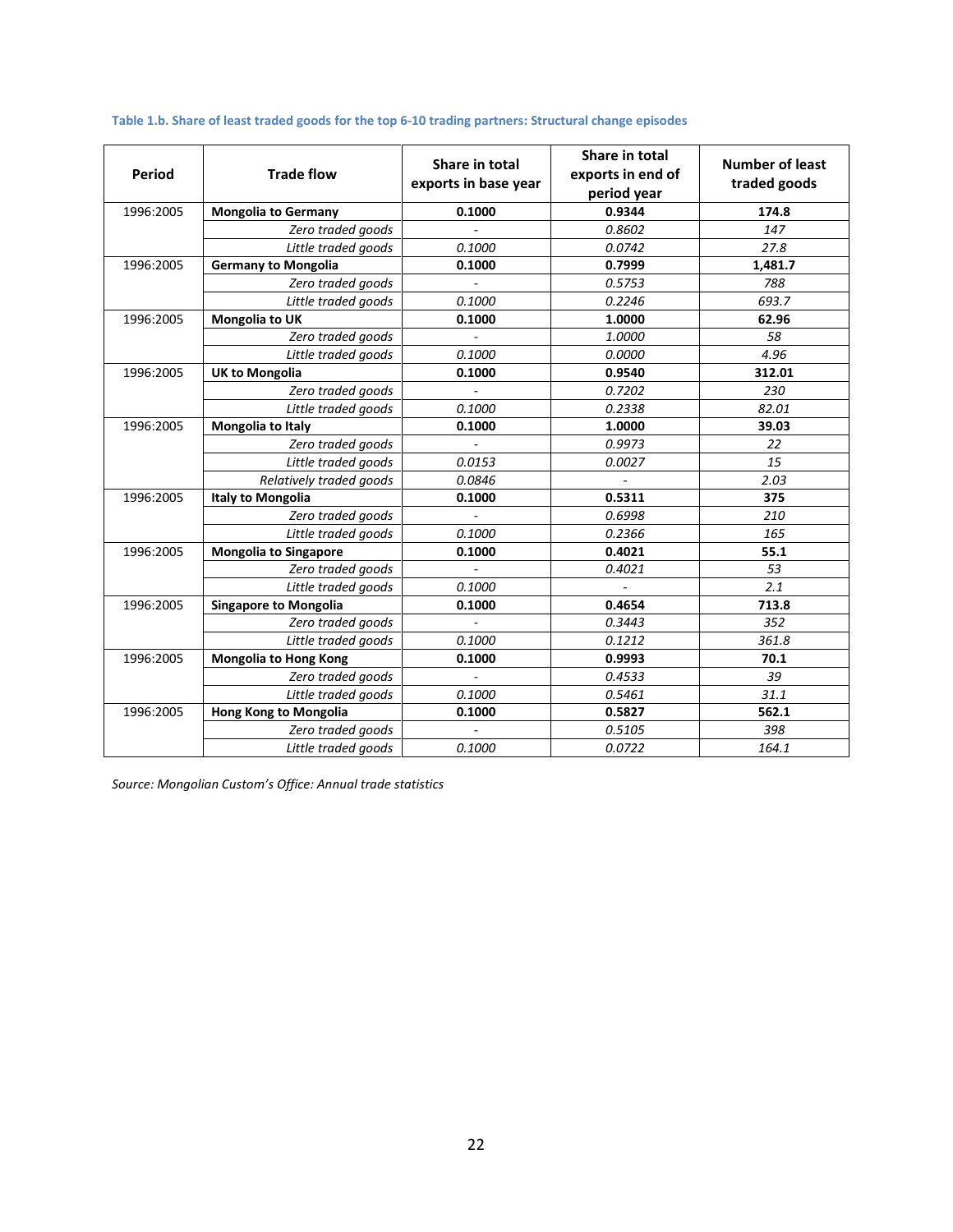| Period                 | <b>Trade flow</b>            | Share in total<br>exports in base year | Share in total<br>exports in end of<br>period year                                                                                                                                                                                                                                                                                                                                             | <b>Number of least</b><br>traded goods |  |
|------------------------|------------------------------|----------------------------------------|------------------------------------------------------------------------------------------------------------------------------------------------------------------------------------------------------------------------------------------------------------------------------------------------------------------------------------------------------------------------------------------------|----------------------------------------|--|
| 1996:2005              | <b>Mongolia to Germany</b>   | 0.1000                                 | 0.9344                                                                                                                                                                                                                                                                                                                                                                                         | 174.8                                  |  |
|                        | Zero traded goods            |                                        | 0.8602                                                                                                                                                                                                                                                                                                                                                                                         | 147                                    |  |
|                        | Little traded goods          | 0.1000                                 | 0.0742                                                                                                                                                                                                                                                                                                                                                                                         | 27.8                                   |  |
| 1996:2005              | <b>Germany to Mongolia</b>   | 0.1000                                 | 0.7999                                                                                                                                                                                                                                                                                                                                                                                         | 1,481.7                                |  |
|                        | Zero traded goods            |                                        | 0.5753                                                                                                                                                                                                                                                                                                                                                                                         | 788                                    |  |
|                        | Little traded goods          | 0.1000                                 | 693.7<br>0.2246<br>1.0000<br>62.96<br>1.0000<br>58<br>0.0000<br>4.96<br>0.9540<br>312.01<br>0.7202<br>230<br>0.2338<br>82.01<br>1.0000<br>39.03<br>0.9973<br>22<br>0.0027<br>15<br>2.03<br>0.5311<br>375<br>0.6998<br>210<br>0.2366<br>165<br>0.4021<br>55.1<br>0.4021<br>53<br>2.1<br>0.4654<br>713.8<br>352<br>0.3443<br>0.1212<br>361.8<br>0.9993<br>70.1<br>39<br>0.4533<br>31.1<br>0.5461 |                                        |  |
| 1996:2005              | Mongolia to UK               | 0.1000                                 |                                                                                                                                                                                                                                                                                                                                                                                                |                                        |  |
| 1996:2005<br>1996:2005 | Zero traded goods            |                                        |                                                                                                                                                                                                                                                                                                                                                                                                |                                        |  |
|                        | Little traded goods          | 0.1000                                 |                                                                                                                                                                                                                                                                                                                                                                                                |                                        |  |
|                        | <b>UK to Mongolia</b>        | 0.1000                                 |                                                                                                                                                                                                                                                                                                                                                                                                |                                        |  |
|                        | Zero traded goods            |                                        |                                                                                                                                                                                                                                                                                                                                                                                                |                                        |  |
|                        | Little traded goods          | 0.1000                                 |                                                                                                                                                                                                                                                                                                                                                                                                |                                        |  |
|                        | Mongolia to Italy            | 0.1000                                 |                                                                                                                                                                                                                                                                                                                                                                                                |                                        |  |
|                        | Zero traded goods            |                                        |                                                                                                                                                                                                                                                                                                                                                                                                |                                        |  |
|                        | Little traded goods          | 0.0153                                 |                                                                                                                                                                                                                                                                                                                                                                                                |                                        |  |
|                        | Relatively traded goods      | 0.0846                                 |                                                                                                                                                                                                                                                                                                                                                                                                |                                        |  |
| 1996:2005              | <b>Italy to Mongolia</b>     | 0.1000                                 |                                                                                                                                                                                                                                                                                                                                                                                                |                                        |  |
|                        | Zero traded goods            |                                        |                                                                                                                                                                                                                                                                                                                                                                                                |                                        |  |
|                        | Little traded goods          | 0.1000                                 |                                                                                                                                                                                                                                                                                                                                                                                                |                                        |  |
| 1996:2005              | <b>Mongolia to Singapore</b> | 0.1000                                 |                                                                                                                                                                                                                                                                                                                                                                                                |                                        |  |
|                        | Zero traded goods            |                                        |                                                                                                                                                                                                                                                                                                                                                                                                |                                        |  |
|                        | Little traded goods          | 0.1000                                 |                                                                                                                                                                                                                                                                                                                                                                                                | 562.1<br>398<br>164.1                  |  |
| 1996:2005              | <b>Singapore to Mongolia</b> | 0.1000                                 |                                                                                                                                                                                                                                                                                                                                                                                                |                                        |  |
|                        | Zero traded goods            |                                        |                                                                                                                                                                                                                                                                                                                                                                                                |                                        |  |
|                        | Little traded goods          | 0.1000                                 |                                                                                                                                                                                                                                                                                                                                                                                                |                                        |  |
| 1996:2005              | <b>Mongolia to Hong Kong</b> | 0.1000                                 |                                                                                                                                                                                                                                                                                                                                                                                                |                                        |  |
|                        | Zero traded goods            |                                        |                                                                                                                                                                                                                                                                                                                                                                                                |                                        |  |
|                        | Little traded goods          | 0.1000                                 |                                                                                                                                                                                                                                                                                                                                                                                                |                                        |  |
| 1996:2005              | <b>Hong Kong to Mongolia</b> | 0.1000                                 | 0.5827                                                                                                                                                                                                                                                                                                                                                                                         |                                        |  |
|                        | Zero traded goods            |                                        | 0.5105                                                                                                                                                                                                                                                                                                                                                                                         |                                        |  |
|                        | Little traded goods          | 0.1000                                 | 0.0722                                                                                                                                                                                                                                                                                                                                                                                         |                                        |  |

## **Table 1.b. Share of least traded goods for the top 6-10 trading partners: Structural change episodes**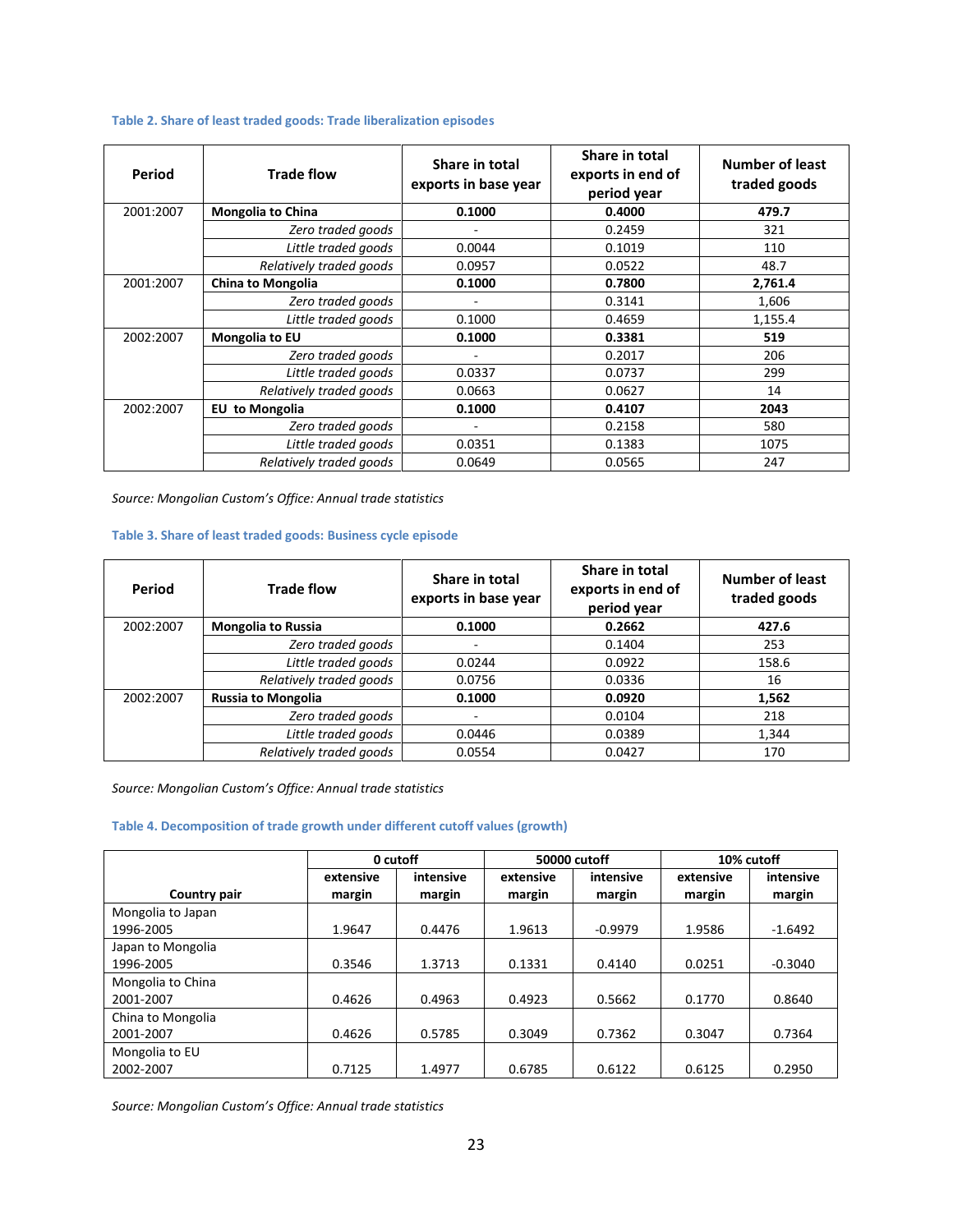## **Table 2. Share of least traded goods: Trade liberalization episodes**

| Period    | <b>Trade flow</b>        | Share in total<br>Share in total<br>exports in end of<br>exports in base year<br>period year |        | <b>Number of least</b><br>traded goods |  |
|-----------|--------------------------|----------------------------------------------------------------------------------------------|--------|----------------------------------------|--|
| 2001:2007 | <b>Mongolia to China</b> | 0.1000                                                                                       | 0.4000 | 479.7                                  |  |
|           | Zero traded goods        |                                                                                              | 0.2459 | 321                                    |  |
|           | Little traded goods      | 0.0044                                                                                       | 0.1019 | 110                                    |  |
|           | Relatively traded aoods  | 0.0957                                                                                       | 0.0522 | 48.7                                   |  |
| 2001:2007 | China to Mongolia        | 0.1000                                                                                       | 0.7800 | 2,761.4                                |  |
|           | Zero traded goods        | ٠                                                                                            | 0.3141 | 1,606                                  |  |
|           | Little traded goods      | 0.1000                                                                                       | 0.4659 | 1,155.4                                |  |
| 2002:2007 | <b>Mongolia to EU</b>    | 0.1000                                                                                       | 0.3381 | 519                                    |  |
|           | Zero traded goods        | $\overline{\phantom{0}}$                                                                     | 0.2017 | 206                                    |  |
|           | Little traded goods      | 0.0337                                                                                       | 0.0737 | 299                                    |  |
|           | Relatively traded goods  | 0.0663                                                                                       | 0.0627 | 14                                     |  |
| 2002:2007 | to Mongolia<br>EU        | 0.1000                                                                                       | 0.4107 | 2043                                   |  |
|           | Zero traded goods        |                                                                                              | 0.2158 | 580                                    |  |
|           | Little traded goods      | 0.0351                                                                                       | 0.1383 | 1075                                   |  |
|           | Relatively traded goods  | 0.0649                                                                                       | 0.0565 | 247                                    |  |

*Source: Mongolian Custom's Office: Annual trade statistics*

## **Table 3. Share of least traded goods: Business cycle episode**

| Period    | <b>Trade flow</b>         | Share in total<br>exports in base year | Share in total<br>exports in end of<br>period year | Number of least<br>traded goods |  |
|-----------|---------------------------|----------------------------------------|----------------------------------------------------|---------------------------------|--|
| 2002:2007 | <b>Mongolia to Russia</b> | 0.1000                                 | 0.2662                                             | 427.6                           |  |
|           | Zero traded goods         |                                        | 0.1404                                             | 253                             |  |
|           | Little traded goods       | 0.0244                                 | 0.0922                                             | 158.6                           |  |
|           | Relatively traded goods   | 0.0756                                 | 0.0336                                             | 16                              |  |
| 2002:2007 | <b>Russia to Mongolia</b> | 0.1000                                 | 0.0920                                             | 1,562                           |  |
|           | Zero traded goods         |                                        | 0.0104                                             | 218                             |  |
|           | Little traded goods       | 0.0446                                 | 0.0389                                             | 1,344                           |  |
|           | Relatively traded goods   | 0.0554                                 | 0.0427                                             | 170                             |  |

*Source: Mongolian Custom's Office: Annual trade statistics*

#### **Table 4. Decomposition of trade growth under different cutoff values (growth)**

|                                | 0 cutoff            |                     | 50000 cutoff        |                     | 10% cutoff          |                     |
|--------------------------------|---------------------|---------------------|---------------------|---------------------|---------------------|---------------------|
| Country pair                   | extensive<br>margin | intensive<br>margin | extensive<br>margin | intensive<br>margin | extensive<br>margin | intensive<br>margin |
| Mongolia to Japan<br>1996-2005 | 1.9647              | 0.4476              | 1.9613              | $-0.9979$           | 1.9586              | $-1.6492$           |
| Japan to Mongolia<br>1996-2005 | 0.3546              | 1.3713              | 0.1331              | 0.4140              | 0.0251              | $-0.3040$           |
| Mongolia to China<br>2001-2007 | 0.4626              | 0.4963              | 0.4923              | 0.5662              | 0.1770              | 0.8640              |
| China to Mongolia<br>2001-2007 | 0.4626              | 0.5785              | 0.3049              | 0.7362              | 0.3047              | 0.7364              |
| Mongolia to EU<br>2002-2007    | 0.7125              | 1.4977              | 0.6785              | 0.6122              | 0.6125              | 0.2950              |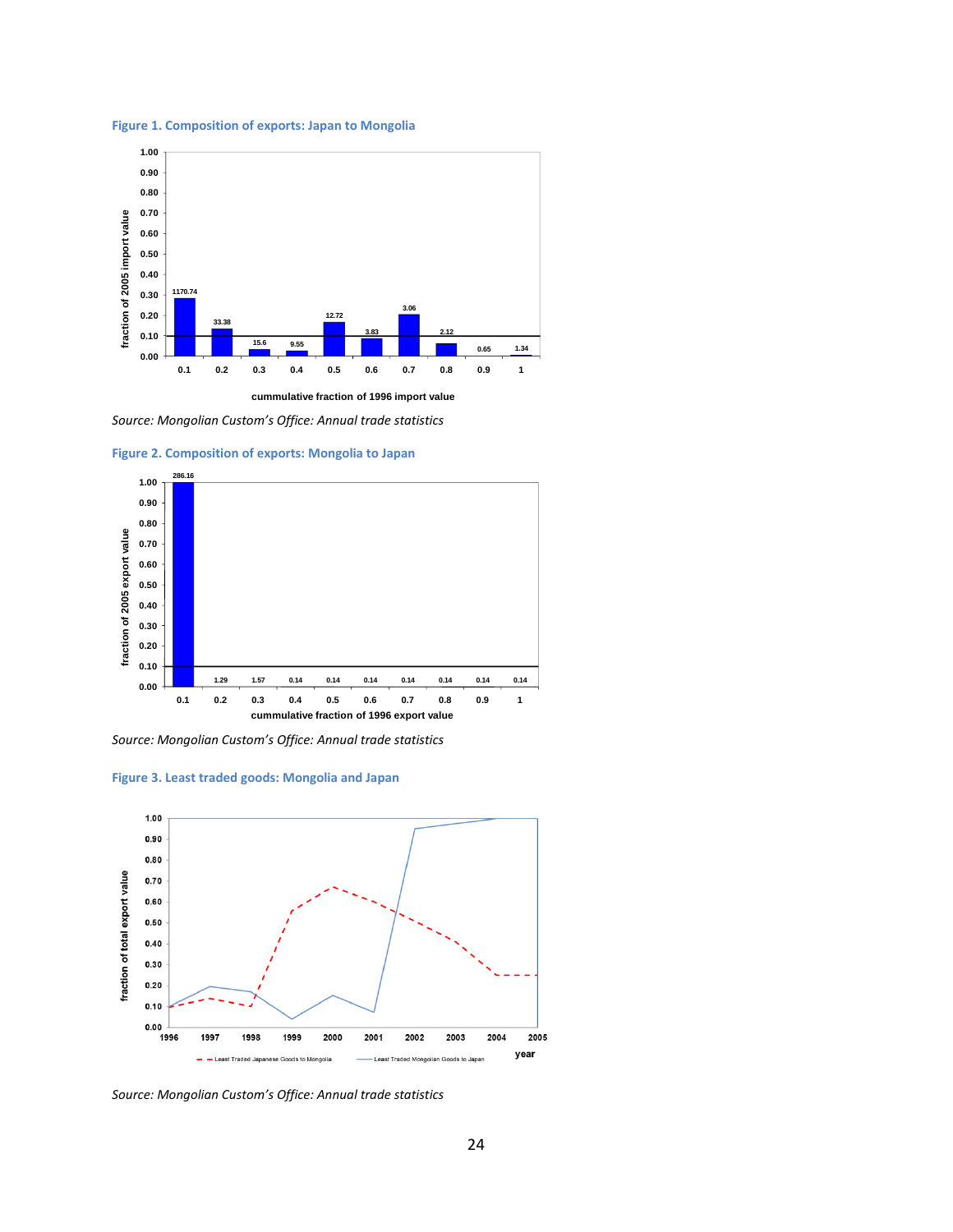**Figure 1. Composition of exports: Japan to Mongolia**



*Source: Mongolian Custom's Office: Annual trade statistics*



**Figure 2. Composition of exports: Mongolia to Japan**

*Source: Mongolian Custom's Office: Annual trade statistics*





*Source: Mongolian Custom's Office: Annual trade statistics*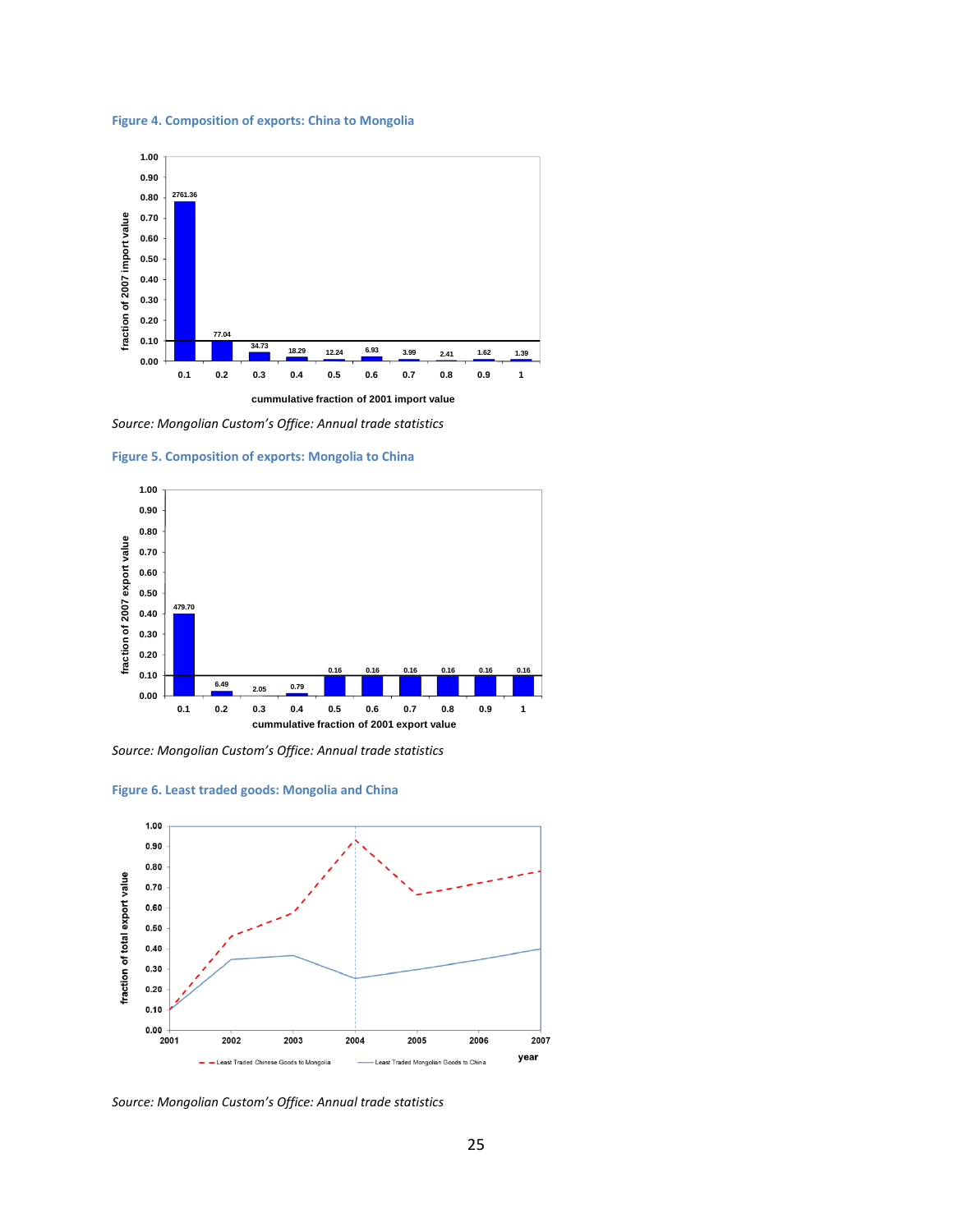#### **Figure 4. Composition of exports: China to Mongolia**



*Source: Mongolian Custom's Office: Annual trade statistics*





*Source: Mongolian Custom's Office: Annual trade statistics*





*Source: Mongolian Custom's Office: Annual trade statistics*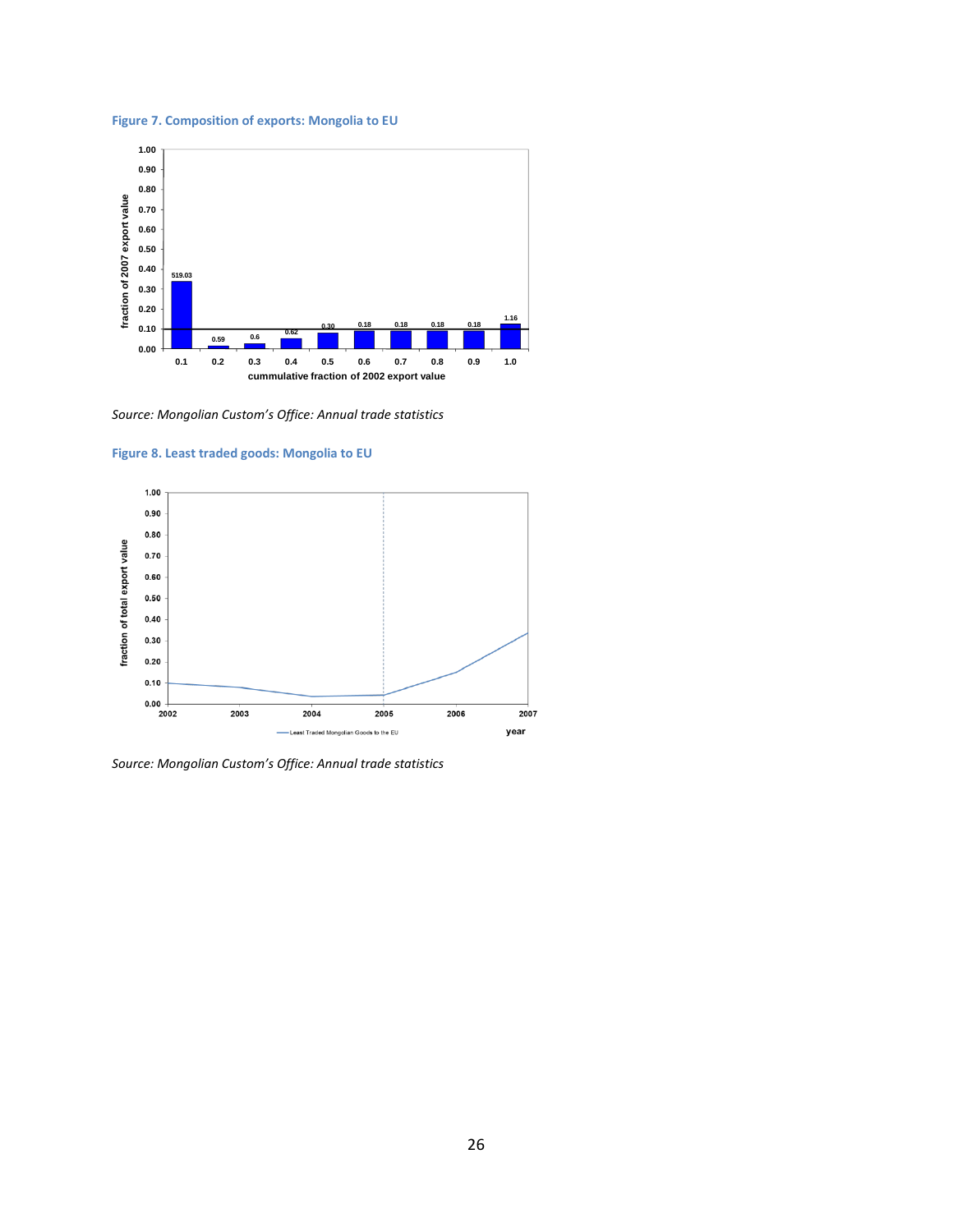#### **Figure 7. Composition of exports: Mongolia to EU**



*Source: Mongolian Custom's Office: Annual trade statistics*

#### **Figure 8. Least traded goods: Mongolia to EU**



*Source: Mongolian Custom's Office: Annual trade statistics*